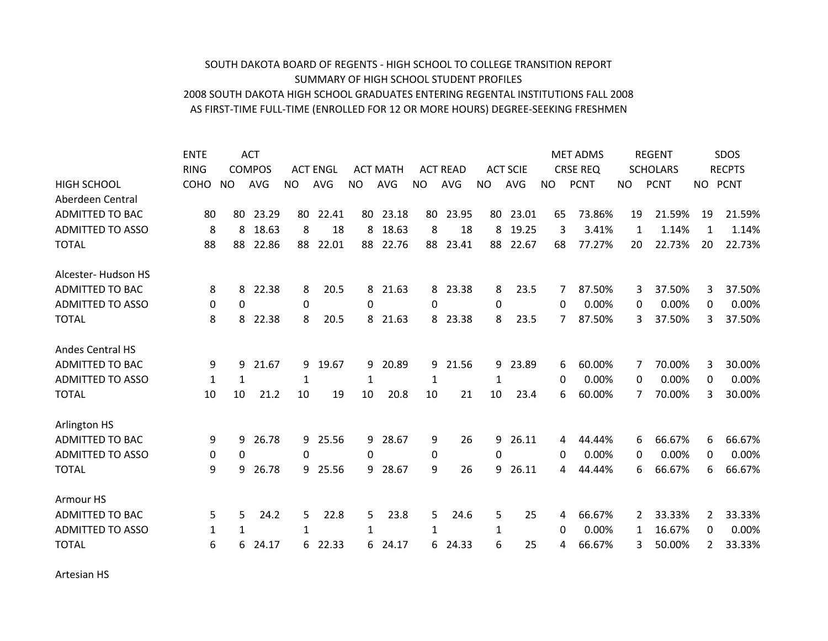## AS FIRST‐TIME FULL‐TIME (ENROLLED FOR 12 OR MORE HOURS) DEGREE‐SEEKING FRESHMEN 2008 SOUTH DAKOTA HIGH SCHOOL GRADUATES ENTERING REGENTAL INSTITUTIONS FALL 2008 SUMMARY OF HIGH SCHOOL STUDENT PROFILES SOUTH DAKOTA BOARD OF REGENTS ‐ HIGH SCHOOL TO COLLEGE TRANSITION REPORT

|                         | <b>ENTE</b> |           | <b>ACT</b>    |     |                 |              |                 |           |                 |              |                 |     | <b>MET ADMS</b> |           | <b>REGENT</b>   |     | SDOS          |
|-------------------------|-------------|-----------|---------------|-----|-----------------|--------------|-----------------|-----------|-----------------|--------------|-----------------|-----|-----------------|-----------|-----------------|-----|---------------|
|                         | <b>RING</b> |           | <b>COMPOS</b> |     | <b>ACT ENGL</b> |              | <b>ACT MATH</b> |           | <b>ACT READ</b> |              | <b>ACT SCIE</b> |     | <b>CRSE REQ</b> |           | <b>SCHOLARS</b> |     | <b>RECPTS</b> |
| <b>HIGH SCHOOL</b>      | COHO        | <b>NO</b> | <b>AVG</b>    | NO. | <b>AVG</b>      | <b>NO</b>    | <b>AVG</b>      | <b>NO</b> | <b>AVG</b>      | <b>NO</b>    | <b>AVG</b>      | NO. | <b>PCNT</b>     | <b>NO</b> | <b>PCNT</b>     | NO. | <b>PCNT</b>   |
| Aberdeen Central        |             |           |               |     |                 |              |                 |           |                 |              |                 |     |                 |           |                 |     |               |
| <b>ADMITTED TO BAC</b>  | 80          | 80        | 23.29         | 80  | 22.41           | 80           | 23.18           | 80        | 23.95           | 80           | 23.01           | 65  | 73.86%          | 19        | 21.59%          | 19  | 21.59%        |
| <b>ADMITTED TO ASSO</b> | 8           | 8         | 18.63         | 8   | 18              | 8            | 18.63           | 8         | 18              | 8            | 19.25           | 3   | 3.41%           | 1         | 1.14%           | 1   | 1.14%         |
| <b>TOTAL</b>            | 88          | 88        | 22.86         | 88  | 22.01           | 88           | 22.76           | 88        | 23.41           | 88           | 22.67           | 68  | 77.27%          | 20        | 22.73%          | 20  | 22.73%        |
| Alcester-Hudson HS      |             |           |               |     |                 |              |                 |           |                 |              |                 |     |                 |           |                 |     |               |
| <b>ADMITTED TO BAC</b>  | 8           | 8         | 22.38         | 8   | 20.5            | 8            | 21.63           | 8         | 23.38           | 8            | 23.5            | 7   | 87.50%          | 3         | 37.50%          | 3   | 37.50%        |
| <b>ADMITTED TO ASSO</b> | 0           | 0         |               | 0   |                 | 0            |                 | 0         |                 | 0            |                 | 0   | 0.00%           | 0         | 0.00%           | 0   | 0.00%         |
| <b>TOTAL</b>            | 8           | 8         | 22.38         | 8   | 20.5            | 8            | 21.63           | 8         | 23.38           | 8            | 23.5            | 7   | 87.50%          | 3         | 37.50%          | 3   | 37.50%        |
| <b>Andes Central HS</b> |             |           |               |     |                 |              |                 |           |                 |              |                 |     |                 |           |                 |     |               |
| <b>ADMITTED TO BAC</b>  | 9           | 9         | 21.67         |     | 9 19.67         | 9            | 20.89           | 9         | 21.56           | 9            | 23.89           | 6   | 60.00%          | 7         | 70.00%          | 3   | 30.00%        |
| <b>ADMITTED TO ASSO</b> | 1           | 1         |               | 1   |                 | 1            |                 | 1         |                 | 1            |                 | 0   | 0.00%           | 0         | 0.00%           | 0   | 0.00%         |
| <b>TOTAL</b>            | 10          | 10        | 21.2          | 10  | 19              | 10           | 20.8            | 10        | 21              | 10           | 23.4            | 6   | 60.00%          | 7         | 70.00%          | 3   | 30.00%        |
| Arlington HS            |             |           |               |     |                 |              |                 |           |                 |              |                 |     |                 |           |                 |     |               |
| <b>ADMITTED TO BAC</b>  | 9           | 9         | 26.78         |     | 9 25.56         | 9            | 28.67           | 9         | 26              | 9            | 26.11           | 4   | 44.44%          | 6         | 66.67%          | 6   | 66.67%        |
| <b>ADMITTED TO ASSO</b> | 0           | 0         |               | 0   |                 | 0            |                 | 0         |                 | 0            |                 | 0   | 0.00%           | 0         | 0.00%           | 0   | 0.00%         |
| <b>TOTAL</b>            | 9           | 9         | 26.78         | 9   | 25.56           | 9            | 28.67           | 9         | 26              | q            | 26.11           | 4   | 44.44%          | 6         | 66.67%          | 6   | 66.67%        |
| Armour HS               |             |           |               |     |                 |              |                 |           |                 |              |                 |     |                 |           |                 |     |               |
| <b>ADMITTED TO BAC</b>  | 5.          | 5         | 24.2          | 5   | 22.8            | 5.           | 23.8            | 5.        | 24.6            | 5            | 25              | 4   | 66.67%          | 2         | 33.33%          | 2   | 33.33%        |
| <b>ADMITTED TO ASSO</b> | 1           | 1         |               | 1   |                 | $\mathbf{1}$ |                 | 1         |                 | $\mathbf{1}$ |                 | 0   | 0.00%           | 1         | 16.67%          | 0   | 0.00%         |
| <b>TOTAL</b>            | 6           | 6         | 24.17         | 6   | 22.33           | 6.           | 24.17           | 6         | 24.33           | 6            | 25              | 4   | 66.67%          | 3         | 50.00%          | 2   | 33.33%        |

Artesian HS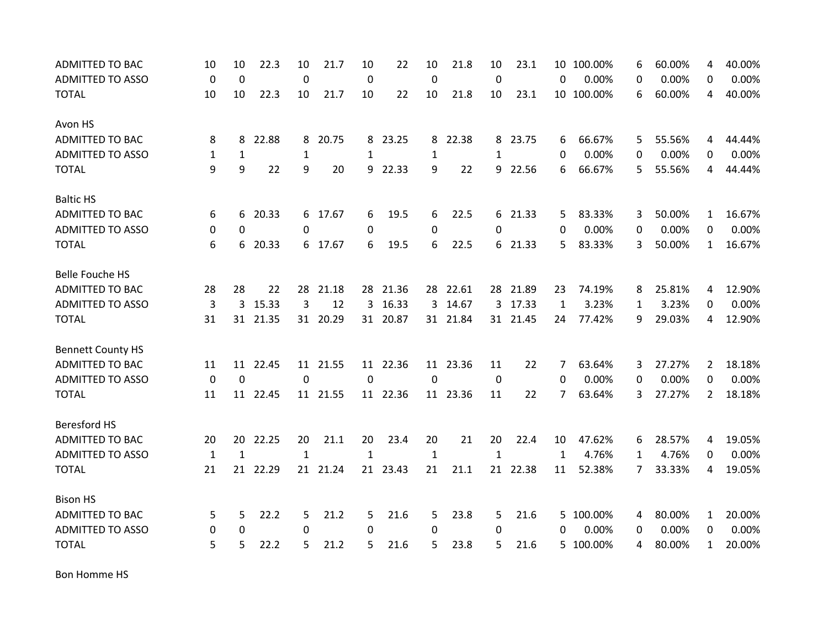| <b>ADMITTED TO BAC</b>   | 10           | 10           | 22.3     | 10           | 21.7     | 10           | 22       | 10           | 21.8     | 10           | 23.1     | 10           | 100.00%    | 6 | 60.00% | 4              | 40.00% |
|--------------------------|--------------|--------------|----------|--------------|----------|--------------|----------|--------------|----------|--------------|----------|--------------|------------|---|--------|----------------|--------|
| <b>ADMITTED TO ASSO</b>  | $\mathbf 0$  | $\mathbf 0$  |          | $\mathbf 0$  |          | 0            |          | 0            |          | 0            |          | 0            | 0.00%      | 0 | 0.00%  | 0              | 0.00%  |
| <b>TOTAL</b>             | 10           | 10           | 22.3     | 10           | 21.7     | 10           | 22       | 10           | 21.8     | 10           | 23.1     |              | 10 100.00% | 6 | 60.00% | 4              | 40.00% |
| Avon HS                  |              |              |          |              |          |              |          |              |          |              |          |              |            |   |        |                |        |
| <b>ADMITTED TO BAC</b>   | 8            | 8            | 22.88    | 8            | 20.75    | 8            | 23.25    | 8            | 22.38    |              | 8 23.75  | 6            | 66.67%     | 5 | 55.56% | 4              | 44.44% |
| <b>ADMITTED TO ASSO</b>  | 1            | $\mathbf{1}$ |          | $\mathbf{1}$ |          | 1            |          | 1            |          | $\mathbf{1}$ |          | 0            | 0.00%      | 0 | 0.00%  | 0              | 0.00%  |
| <b>TOTAL</b>             | 9            | 9            | 22       | 9            | 20       | 9            | 22.33    | 9            | 22       | 9            | 22.56    | 6            | 66.67%     | 5 | 55.56% | 4              | 44.44% |
| <b>Baltic HS</b>         |              |              |          |              |          |              |          |              |          |              |          |              |            |   |        |                |        |
| ADMITTED TO BAC          | 6            | 6            | 20.33    |              | 6 17.67  | 6            | 19.5     | 6            | 22.5     |              | 6 21.33  | 5            | 83.33%     | 3 | 50.00% | 1              | 16.67% |
| <b>ADMITTED TO ASSO</b>  | 0            | $\Omega$     |          | $\Omega$     |          | 0            |          | $\Omega$     |          | 0            |          | $\Omega$     | 0.00%      | 0 | 0.00%  | 0              | 0.00%  |
| <b>TOTAL</b>             | 6            | 6            | 20.33    |              | 6 17.67  | 6            | 19.5     | 6            | 22.5     |              | 6 21.33  | 5            | 83.33%     | 3 | 50.00% | $\mathbf{1}$   | 16.67% |
| <b>Belle Fouche HS</b>   |              |              |          |              |          |              |          |              |          |              |          |              |            |   |        |                |        |
| <b>ADMITTED TO BAC</b>   | 28           | 28           | 22       | 28           | 21.18    | 28           | 21.36    |              | 28 22.61 |              | 28 21.89 | 23           | 74.19%     | 8 | 25.81% | 4              | 12.90% |
| <b>ADMITTED TO ASSO</b>  | 3            | 3            | 15.33    | 3            | 12       | 3            | 16.33    |              | 3 14.67  | 3            | 17.33    | 1            | 3.23%      | 1 | 3.23%  | 0              | 0.00%  |
| <b>TOTAL</b>             | 31           |              | 31 21.35 |              | 31 20.29 |              | 31 20.87 |              | 31 21.84 |              | 31 21.45 | 24           | 77.42%     | 9 | 29.03% | 4              | 12.90% |
| <b>Bennett County HS</b> |              |              |          |              |          |              |          |              |          |              |          |              |            |   |        |                |        |
| <b>ADMITTED TO BAC</b>   | 11           | 11           | 22.45    |              | 11 21.55 |              | 11 22.36 |              | 11 23.36 | 11           | 22       | 7            | 63.64%     | 3 | 27.27% | $\overline{2}$ | 18.18% |
| <b>ADMITTED TO ASSO</b>  | 0            | $\mathbf 0$  |          | 0            |          | 0            |          | 0            |          | 0            |          | $\Omega$     | 0.00%      | 0 | 0.00%  | $\Omega$       | 0.00%  |
| <b>TOTAL</b>             | 11           |              | 11 22.45 |              | 11 21.55 |              | 11 22.36 |              | 11 23.36 | 11           | 22       | 7            | 63.64%     | 3 | 27.27% | $\overline{2}$ | 18.18% |
| <b>Beresford HS</b>      |              |              |          |              |          |              |          |              |          |              |          |              |            |   |        |                |        |
| <b>ADMITTED TO BAC</b>   | 20           | 20           | 22.25    | 20           | 21.1     | 20           | 23.4     | 20           | 21       | 20           | 22.4     | 10           | 47.62%     | 6 | 28.57% | 4              | 19.05% |
| <b>ADMITTED TO ASSO</b>  | $\mathbf{1}$ | $\mathbf{1}$ |          | $\mathbf{1}$ |          | $\mathbf{1}$ |          | $\mathbf{1}$ |          | $\mathbf{1}$ |          | $\mathbf{1}$ | 4.76%      | 1 | 4.76%  | 0              | 0.00%  |
| <b>TOTAL</b>             | 21           | 21           | 22.29    | 21           | 21.24    | 21           | 23.43    | 21           | 21.1     | 21           | 22.38    | 11           | 52.38%     | 7 | 33.33% | 4              | 19.05% |
| <b>Bison HS</b>          |              |              |          |              |          |              |          |              |          |              |          |              |            |   |        |                |        |
| <b>ADMITTED TO BAC</b>   | 5            | 5            | 22.2     | 5            | 21.2     | 5            | 21.6     | 5            | 23.8     | 5            | 21.6     |              | 5 100.00%  | 4 | 80.00% | $\mathbf{1}$   | 20.00% |
| <b>ADMITTED TO ASSO</b>  | 0            | 0            |          | 0            |          | 0            |          | 0            |          | 0            |          | 0            | 0.00%      | 0 | 0.00%  | 0              | 0.00%  |
| <b>TOTAL</b>             | 5            | 5            | 22.2     | 5            | 21.2     | 5            | 21.6     | 5.           | 23.8     | 5            | 21.6     | 5.           | 100.00%    | 4 | 80.00% | $\mathbf{1}$   | 20.00% |

Bon Homme HS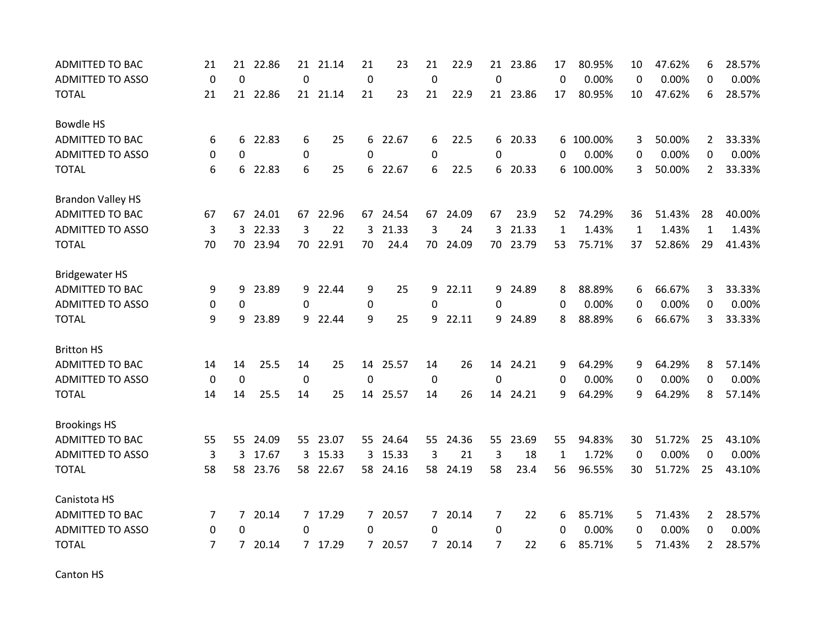| <b>ADMITTED TO BAC</b>   | 21             | 21             | 22.86    | 21          | 21.14    | 21          | 23       | 21          | 22.9     | 21             | 23.86    | 17           | 80.95%    | 10          | 47.62% | 6              | 28.57% |
|--------------------------|----------------|----------------|----------|-------------|----------|-------------|----------|-------------|----------|----------------|----------|--------------|-----------|-------------|--------|----------------|--------|
| <b>ADMITTED TO ASSO</b>  | $\Omega$       | $\Omega$       |          | $\mathbf 0$ |          | $\mathbf 0$ |          | $\mathbf 0$ |          | $\Omega$       |          | 0            | 0.00%     | 0           | 0.00%  | 0              | 0.00%  |
| <b>TOTAL</b>             | 21             |                | 21 22.86 |             | 21 21.14 | 21          | 23       | 21          | 22.9     |                | 21 23.86 | 17           | 80.95%    | 10          | 47.62% | 6              | 28.57% |
| Bowdle HS                |                |                |          |             |          |             |          |             |          |                |          |              |           |             |        |                |        |
| <b>ADMITTED TO BAC</b>   | 6              | 6              | 22.83    | 6           | 25       | 6           | 22.67    | 6           | 22.5     |                | 6 20.33  |              | 6 100.00% | 3           | 50.00% | $\mathbf{2}$   | 33.33% |
| <b>ADMITTED TO ASSO</b>  | 0              | $\mathbf{0}$   |          | 0           |          | 0           |          | 0           |          | 0              |          | 0            | 0.00%     | 0           | 0.00%  | 0              | 0.00%  |
| <b>TOTAL</b>             | 6              | 6              | 22.83    | 6           | 25       | 6           | 22.67    | 6           | 22.5     | 6              | 20.33    | 6            | 100.00%   | 3           | 50.00% | $\overline{2}$ | 33.33% |
| <b>Brandon Valley HS</b> |                |                |          |             |          |             |          |             |          |                |          |              |           |             |        |                |        |
| <b>ADMITTED TO BAC</b>   | 67             | 67             | 24.01    |             | 67 22.96 |             | 67 24.54 |             | 67 24.09 | 67             | 23.9     | 52           | 74.29%    | 36          | 51.43% | 28             | 40.00% |
| <b>ADMITTED TO ASSO</b>  | 3              | 3              | 22.33    | 3           | 22       | 3           | 21.33    | 3           | 24       | 3              | 21.33    | $\mathbf 1$  | 1.43%     | $\mathbf 1$ | 1.43%  | $\mathbf{1}$   | 1.43%  |
| <b>TOTAL</b>             | 70             | 70             | 23.94    |             | 70 22.91 | 70          | 24.4     |             | 70 24.09 |                | 70 23.79 | 53           | 75.71%    | 37          | 52.86% | 29             | 41.43% |
| <b>Bridgewater HS</b>    |                |                |          |             |          |             |          |             |          |                |          |              |           |             |        |                |        |
| <b>ADMITTED TO BAC</b>   | 9              | 9              | 23.89    | 9           | 22.44    | 9           | 25       | 9           | 22.11    | 9              | 24.89    | 8            | 88.89%    | 6           | 66.67% | 3              | 33.33% |
| <b>ADMITTED TO ASSO</b>  | 0              | 0              |          | 0           |          | 0           |          | $\Omega$    |          | 0              |          | 0            | 0.00%     | 0           | 0.00%  | 0              | 0.00%  |
| <b>TOTAL</b>             | 9              | 9              | 23.89    |             | 9 22.44  | 9           | 25       | 9           | 22.11    | 9              | 24.89    | 8            | 88.89%    | 6           | 66.67% | 3              | 33.33% |
| <b>Britton HS</b>        |                |                |          |             |          |             |          |             |          |                |          |              |           |             |        |                |        |
| <b>ADMITTED TO BAC</b>   | 14             | 14             | 25.5     | 14          | 25       | 14          | 25.57    | 14          | 26       | 14             | 24.21    | 9            | 64.29%    | 9           | 64.29% | 8              | 57.14% |
| <b>ADMITTED TO ASSO</b>  | 0              | $\mathbf 0$    |          | 0           |          | 0           |          | 0           |          | 0              |          | 0            | 0.00%     | 0           | 0.00%  | 0              | 0.00%  |
| <b>TOTAL</b>             | 14             | 14             | 25.5     | 14          | 25       |             | 14 25.57 | 14          | 26       |                | 14 24.21 | 9            | 64.29%    | 9           | 64.29% | 8              | 57.14% |
| <b>Brookings HS</b>      |                |                |          |             |          |             |          |             |          |                |          |              |           |             |        |                |        |
| ADMITTED TO BAC          | 55             | 55.            | 24.09    |             | 55 23.07 |             | 55 24.64 |             | 55 24.36 |                | 55 23.69 | 55           | 94.83%    | 30          | 51.72% | 25             | 43.10% |
| <b>ADMITTED TO ASSO</b>  | 3              | 3              | 17.67    |             | 3 15.33  | 3           | 15.33    | 3           | 21       | 3              | 18       | $\mathbf{1}$ | 1.72%     | 0           | 0.00%  | $\Omega$       | 0.00%  |
| <b>TOTAL</b>             | 58             | 58             | 23.76    | 58          | 22.67    | 58          | 24.16    | 58          | 24.19    | 58             | 23.4     | 56           | 96.55%    | 30          | 51.72% | 25             | 43.10% |
| Canistota HS             |                |                |          |             |          |             |          |             |          |                |          |              |           |             |        |                |        |
| ADMITTED TO BAC          | 7              | 7 <sup>1</sup> | 20.14    |             | 7 17.29  | 7           | 20.57    |             | 7 20.14  | 7              | 22       | 6            | 85.71%    | 5           | 71.43% | $\mathbf{2}$   | 28.57% |
| <b>ADMITTED TO ASSO</b>  | 0              | 0              |          | 0           |          | 0           |          | 0           |          | 0              |          | 0            | 0.00%     | 0           | 0.00%  | 0              | 0.00%  |
| <b>TOTAL</b>             | $\overline{7}$ | 7              | 20.14    |             | 7 17.29  | 7           | 20.57    | $7^{\circ}$ | 20.14    | $\overline{7}$ | 22       | 6            | 85.71%    | 5           | 71.43% | $\overline{2}$ | 28.57% |

Canton HS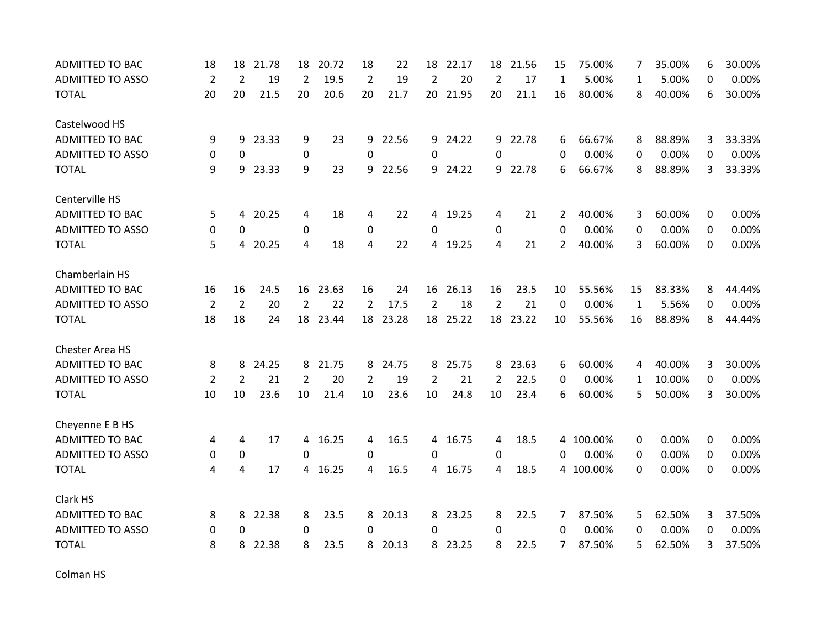| <b>ADMITTED TO BAC</b>  | 18             | 18             | 21.78   | 18             | 20.72    | 18 | 22       | 18             | 22.17    | 18             | 21.56    | 15       | 75.00%    | 7            | 35.00% | 6 | 30.00% |
|-------------------------|----------------|----------------|---------|----------------|----------|----|----------|----------------|----------|----------------|----------|----------|-----------|--------------|--------|---|--------|
| <b>ADMITTED TO ASSO</b> | $\overline{2}$ | 2              | 19      | 2              | 19.5     | 2  | 19       | 2              | 20       | $\overline{2}$ | 17       | 1        | 5.00%     | 1            | 5.00%  | 0 | 0.00%  |
| <b>TOTAL</b>            | 20             | 20             | 21.5    | 20             | 20.6     | 20 | 21.7     | 20             | 21.95    | 20             | 21.1     | 16       | 80.00%    | 8            | 40.00% | 6 | 30.00% |
| Castelwood HS           |                |                |         |                |          |    |          |                |          |                |          |          |           |              |        |   |        |
| <b>ADMITTED TO BAC</b>  | 9              | 9              | 23.33   | 9              | 23       | 9  | 22.56    | 9              | 24.22    |                | 9 22.78  | 6        | 66.67%    | 8            | 88.89% | 3 | 33.33% |
| <b>ADMITTED TO ASSO</b> | 0              | 0              |         | 0              |          | 0  |          | 0              |          | $\Omega$       |          | $\Omega$ | 0.00%     | 0            | 0.00%  | 0 | 0.00%  |
| <b>TOTAL</b>            | 9              | 9              | 23.33   | 9              | 23       | 9  | 22.56    | 9              | 24.22    | 9              | 22.78    | 6        | 66.67%    | 8            | 88.89% | 3 | 33.33% |
| Centerville HS          |                |                |         |                |          |    |          |                |          |                |          |          |           |              |        |   |        |
| ADMITTED TO BAC         | 5              |                | 4 20.25 | 4              | 18       | 4  | 22       | 4              | 19.25    | 4              | 21       | 2        | 40.00%    | 3            | 60.00% | 0 | 0.00%  |
| <b>ADMITTED TO ASSO</b> | $\mathbf 0$    | 0              |         | 0              |          | 0  |          | 0              |          | 0              |          | 0        | 0.00%     | 0            | 0.00%  | 0 | 0.00%  |
| <b>TOTAL</b>            | 5              | 4              | 20.25   | 4              | 18       | 4  | 22       | 4              | 19.25    | 4              | 21       | 2        | 40.00%    | 3            | 60.00% | 0 | 0.00%  |
| Chamberlain HS          |                |                |         |                |          |    |          |                |          |                |          |          |           |              |        |   |        |
| <b>ADMITTED TO BAC</b>  | 16             | 16             | 24.5    | 16             | 23.63    | 16 | 24       | 16             | 26.13    | 16             | 23.5     | 10       | 55.56%    | 15           | 83.33% | 8 | 44.44% |
| <b>ADMITTED TO ASSO</b> | $\overline{2}$ | $\overline{2}$ | 20      | $\overline{2}$ | 22       | 2  | 17.5     | $\overline{2}$ | 18       | 2              | 21       | 0        | 0.00%     | $\mathbf{1}$ | 5.56%  | 0 | 0.00%  |
| <b>TOTAL</b>            | 18             | 18             | 24      |                | 18 23.44 |    | 18 23.28 |                | 18 25.22 |                | 18 23.22 | 10       | 55.56%    | 16           | 88.89% | 8 | 44.44% |
| <b>Chester Area HS</b>  |                |                |         |                |          |    |          |                |          |                |          |          |           |              |        |   |        |
| ADMITTED TO BAC         | 8              | 8              | 24.25   | 8              | 21.75    | 8  | 24.75    | 8              | 25.75    | 8              | 23.63    | 6        | 60.00%    | 4            | 40.00% | 3 | 30.00% |
| <b>ADMITTED TO ASSO</b> | $\overline{2}$ | 2              | 21      | 2              | 20       | 2  | 19       | 2              | 21       | 2              | 22.5     | 0        | 0.00%     | 1            | 10.00% | 0 | 0.00%  |
| <b>TOTAL</b>            | 10             | 10             | 23.6    | 10             | 21.4     | 10 | 23.6     | 10             | 24.8     | 10             | 23.4     | 6        | 60.00%    | 5            | 50.00% | 3 | 30.00% |
| Cheyenne E B HS         |                |                |         |                |          |    |          |                |          |                |          |          |           |              |        |   |        |
| ADMITTED TO BAC         | 4              | 4              | 17      | 4              | 16.25    | 4  | 16.5     | 4              | 16.75    | 4              | 18.5     |          | 4 100.00% | 0            | 0.00%  | 0 | 0.00%  |
| ADMITTED TO ASSO        | 0              | 0              |         | $\Omega$       |          | 0  |          | 0              |          | 0              |          | 0        | 0.00%     | 0            | 0.00%  | 0 | 0.00%  |
| <b>TOTAL</b>            | 4              | 4              | 17      | 4              | 16.25    | 4  | 16.5     | 4              | 16.75    | 4              | 18.5     |          | 4 100.00% | 0            | 0.00%  | 0 | 0.00%  |
| Clark HS                |                |                |         |                |          |    |          |                |          |                |          |          |           |              |        |   |        |
| <b>ADMITTED TO BAC</b>  | 8              | 8              | 22.38   | 8              | 23.5     | 8  | 20.13    |                | 8 23.25  | 8              | 22.5     | 7        | 87.50%    | 5            | 62.50% | 3 | 37.50% |
| <b>ADMITTED TO ASSO</b> | 0              | 0              |         | 0              |          | 0  |          | 0              |          | 0              |          | 0        | 0.00%     | 0            | 0.00%  | 0 | 0.00%  |
| <b>TOTAL</b>            | 8              | 8              | 22.38   | 8              | 23.5     | 8  | 20.13    | 8              | 23.25    | 8              | 22.5     | 7        | 87.50%    | 5            | 62.50% | 3 | 37.50% |

Colman HS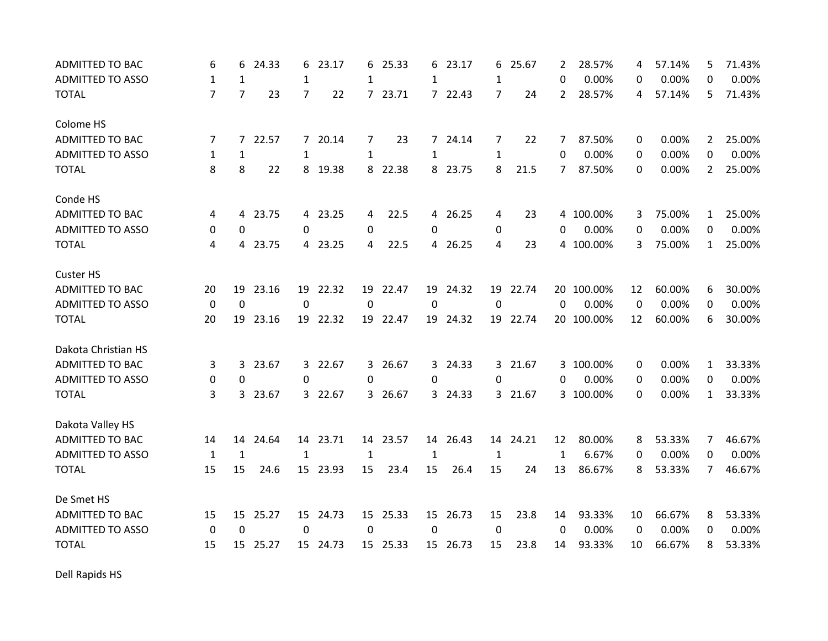| <b>ADMITTED TO BAC</b>  | 6              | 6              | 24.33   | 6              | 23.17    | 6            | 25.33    | 6            | 23.17    | 6            | 25.67    | 2            | 28.57%     | 4  | 57.14% | 5              | 71.43% |
|-------------------------|----------------|----------------|---------|----------------|----------|--------------|----------|--------------|----------|--------------|----------|--------------|------------|----|--------|----------------|--------|
| <b>ADMITTED TO ASSO</b> | $\mathbf{1}$   | $\mathbf{1}$   |         | 1              |          | 1            |          | 1            |          | 1            |          | 0            | 0.00%      | 0  | 0.00%  | 0              | 0.00%  |
| <b>TOTAL</b>            | $\overline{7}$ | $\overline{7}$ | 23      | $\overline{7}$ | 22       |              | 7 23.71  |              | 7 22.43  | 7            | 24       | 2            | 28.57%     | 4  | 57.14% | 5              | 71.43% |
| Colome HS               |                |                |         |                |          |              |          |              |          |              |          |              |            |    |        |                |        |
| <b>ADMITTED TO BAC</b>  | 7              | $\mathcal{I}$  | 22.57   |                | 7 20.14  | 7            | 23       |              | 7 24.14  | 7            | 22       | 7            | 87.50%     | 0  | 0.00%  | $\mathbf{2}$   | 25.00% |
| <b>ADMITTED TO ASSO</b> | $\mathbf{1}$   | 1              |         | 1              |          | 1            |          | $\mathbf{1}$ |          | $\mathbf{1}$ |          | 0            | 0.00%      | 0  | 0.00%  | 0              | 0.00%  |
| <b>TOTAL</b>            | 8              | 8              | 22      | 8              | 19.38    | 8            | 22.38    | 8            | 23.75    | 8            | 21.5     | 7            | 87.50%     | 0  | 0.00%  | $\overline{2}$ | 25.00% |
| Conde HS                |                |                |         |                |          |              |          |              |          |              |          |              |            |    |        |                |        |
| <b>ADMITTED TO BAC</b>  | 4              |                | 4 23.75 |                | 4 23.25  | 4            | 22.5     |              | 4 26.25  | 4            | 23       |              | 4 100.00%  | 3  | 75.00% | $\mathbf{1}$   | 25.00% |
| <b>ADMITTED TO ASSO</b> | 0              | 0              |         | 0              |          | 0            |          | 0            |          | 0            |          | 0            | 0.00%      | 0  | 0.00%  | 0              | 0.00%  |
| <b>TOTAL</b>            | 4              |                | 4 23.75 |                | 4 23.25  | 4            | 22.5     |              | 4 26.25  | 4            | 23       |              | 4 100.00%  | 3  | 75.00% | $\mathbf{1}$   | 25.00% |
| <b>Custer HS</b>        |                |                |         |                |          |              |          |              |          |              |          |              |            |    |        |                |        |
| <b>ADMITTED TO BAC</b>  | 20             | 19             | 23.16   | 19             | 22.32    | 19           | 22.47    | 19           | 24.32    |              | 19 22.74 | 20           | 100.00%    | 12 | 60.00% | 6              | 30.00% |
| <b>ADMITTED TO ASSO</b> | $\mathbf 0$    | $\mathbf 0$    |         | $\mathbf 0$    |          | 0            |          | 0            |          | $\mathbf 0$  |          | 0            | 0.00%      | 0  | 0.00%  | 0              | 0.00%  |
| <b>TOTAL</b>            | 20             | 19             | 23.16   | 19             | 22.32    |              | 19 22.47 |              | 19 24.32 |              | 19 22.74 |              | 20 100.00% | 12 | 60.00% | 6              | 30.00% |
| Dakota Christian HS     |                |                |         |                |          |              |          |              |          |              |          |              |            |    |        |                |        |
| <b>ADMITTED TO BAC</b>  | 3              | 3              | 23.67   |                | 3 22.67  | 3            | 26.67    |              | 3 24.33  |              | 3 21.67  |              | 3 100.00%  | 0  | 0.00%  | 1              | 33.33% |
| <b>ADMITTED TO ASSO</b> | 0              | 0              |         | 0              |          | 0            |          | 0            |          | 0            |          | 0            | 0.00%      | 0  | 0.00%  | $\Omega$       | 0.00%  |
| <b>TOTAL</b>            | 3              | 3              | 23.67   |                | 3 22.67  |              | 3 26.67  |              | 3 24.33  |              | 3 21.67  |              | 3 100.00%  | 0  | 0.00%  | $\mathbf{1}$   | 33.33% |
| Dakota Valley HS        |                |                |         |                |          |              |          |              |          |              |          |              |            |    |        |                |        |
| <b>ADMITTED TO BAC</b>  | 14             | 14             | 24.64   |                | 14 23.71 |              | 14 23.57 | 14           | 26.43    |              | 14 24.21 | 12           | 80.00%     | 8  | 53.33% | 7              | 46.67% |
| <b>ADMITTED TO ASSO</b> | $\mathbf{1}$   | 1              |         | 1              |          | $\mathbf{1}$ |          | 1            |          | 1            |          | $\mathbf{1}$ | 6.67%      | 0  | 0.00%  | 0              | 0.00%  |
| <b>TOTAL</b>            | 15             | 15             | 24.6    |                | 15 23.93 | 15           | 23.4     | 15           | 26.4     | 15           | 24       | 13           | 86.67%     | 8  | 53.33% | 7              | 46.67% |
| De Smet HS              |                |                |         |                |          |              |          |              |          |              |          |              |            |    |        |                |        |
| <b>ADMITTED TO BAC</b>  | 15             | 15             | 25.27   |                | 15 24.73 |              | 15 25.33 |              | 15 26.73 | 15           | 23.8     | 14           | 93.33%     | 10 | 66.67% | 8              | 53.33% |
| <b>ADMITTED TO ASSO</b> | $\mathbf 0$    | $\mathbf 0$    |         | 0              |          | $\Omega$     |          | 0            |          | 0            |          | 0            | 0.00%      | 0  | 0.00%  | 0              | 0.00%  |
| <b>TOTAL</b>            | 15             | 15             | 25.27   |                | 15 24.73 |              | 15 25.33 |              | 15 26.73 | 15           | 23.8     | 14           | 93.33%     | 10 | 66.67% | 8              | 53.33% |

Dell Rapids HS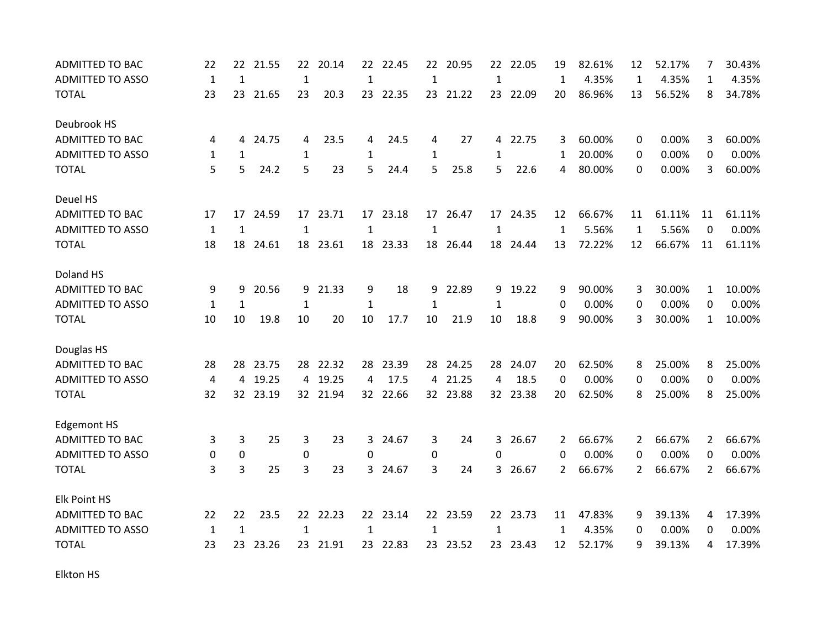| <b>ADMITTED TO BAC</b>  | 22           | 22           | 21.55    | 22           | 20.14    | 22           | 22.45    | 22           | 20.95    | 22           | 22.05    | 19             | 82.61% | 12             | 52.17% | 7              | 30.43% |
|-------------------------|--------------|--------------|----------|--------------|----------|--------------|----------|--------------|----------|--------------|----------|----------------|--------|----------------|--------|----------------|--------|
| <b>ADMITTED TO ASSO</b> | $\mathbf{1}$ | $\mathbf{1}$ |          | $\mathbf{1}$ |          | $\mathbf{1}$ |          | $\mathbf 1$  |          | $\mathbf{1}$ |          | $\mathbf{1}$   | 4.35%  | $\mathbf{1}$   | 4.35%  | 1              | 4.35%  |
| <b>TOTAL</b>            | 23           | 23           | 21.65    | 23           | 20.3     |              | 23 22.35 |              | 23 21.22 |              | 23 22.09 | 20             | 86.96% | 13             | 56.52% | 8              | 34.78% |
| Deubrook HS             |              |              |          |              |          |              |          |              |          |              |          |                |        |                |        |                |        |
| <b>ADMITTED TO BAC</b>  | 4            | 4            | 24.75    | 4            | 23.5     | 4            | 24.5     | 4            | 27       | 4            | 22.75    | 3              | 60.00% | 0              | 0.00%  | 3              | 60.00% |
| <b>ADMITTED TO ASSO</b> | 1            | 1            |          | 1            |          | $\mathbf{1}$ |          | 1            |          | 1            |          | 1              | 20.00% | 0              | 0.00%  | 0              | 0.00%  |
| <b>TOTAL</b>            | 5            | 5            | 24.2     | 5            | 23       | 5            | 24.4     | 5            | 25.8     | 5            | 22.6     | 4              | 80.00% | 0              | 0.00%  | 3              | 60.00% |
| Deuel HS                |              |              |          |              |          |              |          |              |          |              |          |                |        |                |        |                |        |
| <b>ADMITTED TO BAC</b>  | 17           | 17           | 24.59    |              | 17 23.71 |              | 17 23.18 |              | 17 26.47 |              | 17 24.35 | 12             | 66.67% | 11             | 61.11% | 11             | 61.11% |
| <b>ADMITTED TO ASSO</b> | $\mathbf{1}$ | $\mathbf{1}$ |          | $\mathbf{1}$ |          | $\mathbf{1}$ |          | $\mathbf{1}$ |          | $\mathbf{1}$ |          | $\mathbf{1}$   | 5.56%  | $\mathbf{1}$   | 5.56%  | 0              | 0.00%  |
| <b>TOTAL</b>            | 18           | 18           | 24.61    |              | 18 23.61 |              | 18 23.33 |              | 18 26.44 |              | 18 24.44 | 13             | 72.22% | 12             | 66.67% | 11             | 61.11% |
| Doland HS               |              |              |          |              |          |              |          |              |          |              |          |                |        |                |        |                |        |
| <b>ADMITTED TO BAC</b>  | 9            | 9            | 20.56    | 9            | 21.33    | 9            | 18       | 9            | 22.89    | 9            | 19.22    | 9              | 90.00% | 3              | 30.00% | $\mathbf{1}$   | 10.00% |
| <b>ADMITTED TO ASSO</b> | $\mathbf{1}$ | $\mathbf{1}$ |          | $\mathbf{1}$ |          | $\mathbf{1}$ |          | $\mathbf{1}$ |          | $\mathbf{1}$ |          | 0              | 0.00%  | 0              | 0.00%  | 0              | 0.00%  |
| <b>TOTAL</b>            | 10           | 10           | 19.8     | 10           | 20       | 10           | 17.7     | 10           | 21.9     | 10           | 18.8     | 9              | 90.00% | 3              | 30.00% | $\mathbf{1}$   | 10.00% |
| Douglas HS              |              |              |          |              |          |              |          |              |          |              |          |                |        |                |        |                |        |
| <b>ADMITTED TO BAC</b>  | 28           | 28           | 23.75    | 28           | 22.32    | 28           | 23.39    |              | 28 24.25 | 28           | 24.07    | 20             | 62.50% | 8              | 25.00% | 8              | 25.00% |
| <b>ADMITTED TO ASSO</b> | 4            | 4            | 19.25    | 4            | 19.25    | 4            | 17.5     | 4            | 21.25    | 4            | 18.5     | 0              | 0.00%  | 0              | 0.00%  | 0              | 0.00%  |
| <b>TOTAL</b>            | 32           |              | 32 23.19 |              | 32 21.94 |              | 32 22.66 |              | 32 23.88 |              | 32 23.38 | 20             | 62.50% | 8              | 25.00% | 8              | 25.00% |
| <b>Edgemont HS</b>      |              |              |          |              |          |              |          |              |          |              |          |                |        |                |        |                |        |
| <b>ADMITTED TO BAC</b>  | 3            | 3            | 25       | 3            | 23       | 3            | 24.67    | 3            | 24       | 3            | 26.67    | 2              | 66.67% | 2              | 66.67% | 2              | 66.67% |
| <b>ADMITTED TO ASSO</b> | 0            | $\mathbf 0$  |          | 0            |          | 0            |          | 0            |          | 0            |          | $\Omega$       | 0.00%  | 0              | 0.00%  | $\Omega$       | 0.00%  |
| <b>TOTAL</b>            | 3            | 3            | 25       | 3            | 23       | 3            | 24.67    | 3            | 24       | 3            | 26.67    | $\overline{2}$ | 66.67% | $\overline{2}$ | 66.67% | $\overline{2}$ | 66.67% |
| Elk Point HS            |              |              |          |              |          |              |          |              |          |              |          |                |        |                |        |                |        |
| ADMITTED TO BAC         | 22           | 22           | 23.5     |              | 22 22.23 |              | 22 23.14 |              | 22 23.59 |              | 22 23.73 | 11             | 47.83% | 9              | 39.13% | 4              | 17.39% |
| <b>ADMITTED TO ASSO</b> | 1            | 1            |          | 1            |          | $\mathbf{1}$ |          | 1            |          | 1            |          | 1              | 4.35%  | 0              | 0.00%  | 0              | 0.00%  |
| <b>TOTAL</b>            | 23           | 23           | 23.26    | 23           | 21.91    | 23           | 22.83    | 23           | 23.52    | 23           | 23.43    | 12             | 52.17% | 9              | 39.13% | 4              | 17.39% |

Elkton HS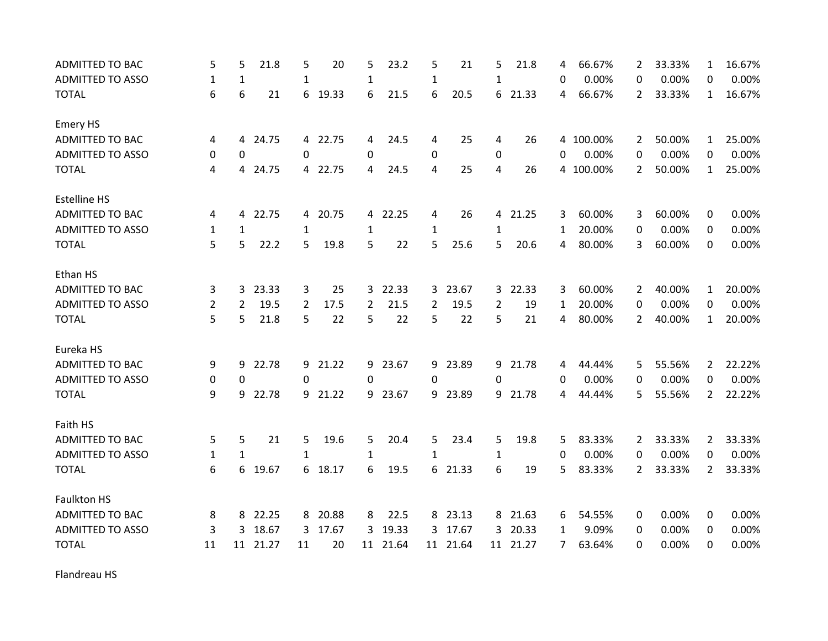| <b>ADMITTED TO BAC</b>  | 5            | 5            | 21.8    | 5            | 20      | 5  | 23.2  | 5            | 21       | 5            | 21.8     | 4            | 66.67%    | 2              | 33.33% | 1              | 16.67% |
|-------------------------|--------------|--------------|---------|--------------|---------|----|-------|--------------|----------|--------------|----------|--------------|-----------|----------------|--------|----------------|--------|
| <b>ADMITTED TO ASSO</b> | $\mathbf{1}$ | $\mathbf{1}$ |         | $\mathbf{1}$ |         | 1  |       | $\mathbf{1}$ |          | $\mathbf{1}$ |          | 0            | 0.00%     | 0              | 0.00%  | 0              | 0.00%  |
| <b>TOTAL</b>            | 6            | 6            | 21      | 6            | 19.33   | 6  | 21.5  | 6            | 20.5     |              | 6 21.33  | 4            | 66.67%    | $\overline{2}$ | 33.33% | $\mathbf{1}$   | 16.67% |
| <b>Emery HS</b>         |              |              |         |              |         |    |       |              |          |              |          |              |           |                |        |                |        |
| ADMITTED TO BAC         | 4            | 4            | 24.75   |              | 4 22.75 | 4  | 24.5  | 4            | 25       | 4            | 26       |              | 4 100.00% | 2              | 50.00% | $\mathbf{1}$   | 25.00% |
| <b>ADMITTED TO ASSO</b> | 0            | 0            |         | 0            |         | 0  |       | 0            |          | 0            |          | 0            | 0.00%     | 0              | 0.00%  | 0              | 0.00%  |
| <b>TOTAL</b>            | 4            | 4            | 24.75   |              | 4 22.75 | 4  | 24.5  | 4            | 25       | 4            | 26       | 4            | 100.00%   | 2              | 50.00% | $\mathbf{1}$   | 25.00% |
| <b>Estelline HS</b>     |              |              |         |              |         |    |       |              |          |              |          |              |           |                |        |                |        |
| <b>ADMITTED TO BAC</b>  | 4            |              | 4 22.75 |              | 4 20.75 | 4  | 22.25 | 4            | 26       |              | 4 21.25  | 3            | 60.00%    | 3              | 60.00% | 0              | 0.00%  |
| <b>ADMITTED TO ASSO</b> | $\mathbf{1}$ | 1            |         | $\mathbf{1}$ |         | 1  |       | $\mathbf{1}$ |          | $\mathbf{1}$ |          | $\mathbf{1}$ | 20.00%    | 0              | 0.00%  | 0              | 0.00%  |
| <b>TOTAL</b>            | 5            | 5            | 22.2    | 5            | 19.8    | 5  | 22    | 5            | 25.6     | 5            | 20.6     | 4            | 80.00%    | 3              | 60.00% | 0              | 0.00%  |
| Ethan HS                |              |              |         |              |         |    |       |              |          |              |          |              |           |                |        |                |        |
| <b>ADMITTED TO BAC</b>  | 3            | 3            | 23.33   | 3            | 25      | 3  | 22.33 | 3            | 23.67    | $\mathbf{3}$ | 22.33    | 3            | 60.00%    | $\overline{2}$ | 40.00% | $\mathbf{1}$   | 20.00% |
| <b>ADMITTED TO ASSO</b> | 2            | 2            | 19.5    | 2            | 17.5    | 2  | 21.5  | 2            | 19.5     | 2            | 19       | 1            | 20.00%    | 0              | 0.00%  | 0              | 0.00%  |
| <b>TOTAL</b>            | 5            | 5            | 21.8    | 5            | 22      | 5  | 22    | 5            | 22       | 5            | 21       | 4            | 80.00%    | $\overline{2}$ | 40.00% | $\mathbf{1}$   | 20.00% |
| Eureka HS               |              |              |         |              |         |    |       |              |          |              |          |              |           |                |        |                |        |
| <b>ADMITTED TO BAC</b>  | 9            | 9            | 22.78   | 9            | 21.22   | 9  | 23.67 |              | 9 23.89  |              | 9 21.78  | 4            | 44.44%    | 5              | 55.56% | $\mathbf{2}$   | 22.22% |
| <b>ADMITTED TO ASSO</b> | 0            | 0            |         | 0            |         | 0  |       | 0            |          | 0            |          | 0            | 0.00%     | 0              | 0.00%  | 0              | 0.00%  |
| <b>TOTAL</b>            | 9            | 9            | 22.78   | 9            | 21.22   | 9  | 23.67 | 9            | 23.89    | 9            | 21.78    | 4            | 44.44%    | 5              | 55.56% | $\overline{2}$ | 22.22% |
| Faith HS                |              |              |         |              |         |    |       |              |          |              |          |              |           |                |        |                |        |
| ADMITTED TO BAC         | 5            | 5.           | 21      | 5            | 19.6    | 5  | 20.4  | 5.           | 23.4     | 5            | 19.8     | 5            | 83.33%    | $\overline{2}$ | 33.33% | $\mathbf{2}$   | 33.33% |
| <b>ADMITTED TO ASSO</b> | $\mathbf{1}$ | 1            |         | $\mathbf{1}$ |         | 1  |       | 1            |          | 1            |          | 0            | 0.00%     | 0              | 0.00%  | 0              | 0.00%  |
| <b>TOTAL</b>            | 6            | 6            | 19.67   | 6            | 18.17   | 6  | 19.5  | 6            | 21.33    | 6            | 19       | 5            | 83.33%    | $\overline{2}$ | 33.33% | $\mathbf{2}$   | 33.33% |
| <b>Faulkton HS</b>      |              |              |         |              |         |    |       |              |          |              |          |              |           |                |        |                |        |
| ADMITTED TO BAC         | 8            | 8            | 22.25   | 8            | 20.88   | 8  | 22.5  |              | 8 23.13  |              | 8 21.63  | 6            | 54.55%    | 0              | 0.00%  | 0              | 0.00%  |
| <b>ADMITTED TO ASSO</b> | 3            | 3            | 18.67   | 3            | 17.67   | 3  | 19.33 | 3            | 17.67    | 3            | 20.33    | 1            | 9.09%     | 0              | 0.00%  | 0              | 0.00%  |
| <b>TOTAL</b>            | 11           | 11           | 21.27   | 11           | 20      | 11 | 21.64 |              | 11 21.64 |              | 11 21.27 | 7            | 63.64%    | $\mathbf{0}$   | 0.00%  | 0              | 0.00%  |

Flandreau HS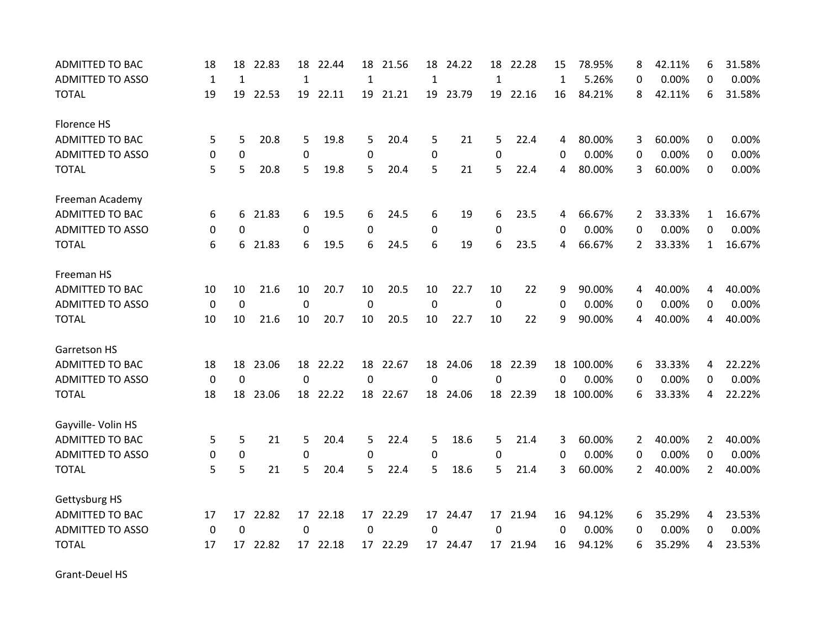| <b>ADMITTED TO BAC</b>  | 18           | 18           | 22.83   | 18           | 22.44    | 18           | 21.56    | 18           | 24.22    | 18           | 22.28    | 15           | 78.95%     | 8              | 42.11% | 6              | 31.58% |
|-------------------------|--------------|--------------|---------|--------------|----------|--------------|----------|--------------|----------|--------------|----------|--------------|------------|----------------|--------|----------------|--------|
| <b>ADMITTED TO ASSO</b> | $\mathbf{1}$ | $\mathbf{1}$ |         | $\mathbf{1}$ |          | $\mathbf{1}$ |          | $\mathbf{1}$ |          | $\mathbf{1}$ |          | $\mathbf{1}$ | 5.26%      | 0              | 0.00%  | 0              | 0.00%  |
| <b>TOTAL</b>            | 19           | 19           | 22.53   |              | 19 22.11 |              | 19 21.21 |              | 19 23.79 |              | 19 22.16 | 16           | 84.21%     | 8              | 42.11% | 6              | 31.58% |
| Florence HS             |              |              |         |              |          |              |          |              |          |              |          |              |            |                |        |                |        |
| <b>ADMITTED TO BAC</b>  | 5            | 5            | 20.8    | 5            | 19.8     | 5            | 20.4     | 5            | 21       | 5            | 22.4     | 4            | 80.00%     | 3              | 60.00% | 0              | 0.00%  |
| <b>ADMITTED TO ASSO</b> | 0            | 0            |         | $\mathbf 0$  |          | 0            |          | 0            |          | 0            |          | 0            | 0.00%      | 0              | 0.00%  | 0              | 0.00%  |
| <b>TOTAL</b>            | 5            | 5            | 20.8    | 5            | 19.8     | 5            | 20.4     | 5            | 21       | 5            | 22.4     | 4            | 80.00%     | 3              | 60.00% | $\Omega$       | 0.00%  |
| Freeman Academy         |              |              |         |              |          |              |          |              |          |              |          |              |            |                |        |                |        |
| <b>ADMITTED TO BAC</b>  | 6            |              | 6 21.83 | 6            | 19.5     | 6            | 24.5     | 6            | 19       | 6            | 23.5     | 4            | 66.67%     | $\overline{2}$ | 33.33% | 1              | 16.67% |
| <b>ADMITTED TO ASSO</b> | 0            | 0            |         | 0            |          | 0            |          | 0            |          | 0            |          | 0            | 0.00%      | 0              | 0.00%  | 0              | 0.00%  |
| <b>TOTAL</b>            | 6            | 6            | 21.83   | 6            | 19.5     | 6            | 24.5     | 6            | 19       | 6            | 23.5     | 4            | 66.67%     | 2              | 33.33% | $\mathbf{1}$   | 16.67% |
| Freeman HS              |              |              |         |              |          |              |          |              |          |              |          |              |            |                |        |                |        |
| <b>ADMITTED TO BAC</b>  | 10           | 10           | 21.6    | 10           | 20.7     | 10           | 20.5     | 10           | 22.7     | 10           | 22       | 9            | 90.00%     | 4              | 40.00% | 4              | 40.00% |
| <b>ADMITTED TO ASSO</b> | 0            | 0            |         | 0            |          | 0            |          | 0            |          | 0            |          | 0            | 0.00%      | 0              | 0.00%  | 0              | 0.00%  |
| <b>TOTAL</b>            | 10           | 10           | 21.6    | 10           | 20.7     | 10           | 20.5     | 10           | 22.7     | 10           | 22       | 9            | 90.00%     | 4              | 40.00% | 4              | 40.00% |
| <b>Garretson HS</b>     |              |              |         |              |          |              |          |              |          |              |          |              |            |                |        |                |        |
| <b>ADMITTED TO BAC</b>  | 18           | 18           | 23.06   | 18           | 22.22    | 18           | 22.67    | 18           | 24.06    | 18           | 22.39    | 18           | 100.00%    | 6              | 33.33% | 4              | 22.22% |
| <b>ADMITTED TO ASSO</b> | 0            | $\mathbf 0$  |         | 0            |          | 0            |          | $\mathbf 0$  |          | $\mathbf 0$  |          | 0            | 0.00%      | 0              | 0.00%  | 0              | 0.00%  |
| <b>TOTAL</b>            | 18           | 18           | 23.06   |              | 18 22.22 | 18           | 22.67    | 18           | 24.06    | 18           | 22.39    |              | 18 100.00% | 6              | 33.33% | 4              | 22.22% |
| Gayville- Volin HS      |              |              |         |              |          |              |          |              |          |              |          |              |            |                |        |                |        |
| <b>ADMITTED TO BAC</b>  | 5            | 5            | 21      | 5            | 20.4     | 5            | 22.4     | 5            | 18.6     | 5            | 21.4     | 3            | 60.00%     | 2              | 40.00% | $\overline{2}$ | 40.00% |
| <b>ADMITTED TO ASSO</b> | 0            | 0            |         | 0            |          | 0            |          | 0            |          | 0            |          | 0            | 0.00%      | 0              | 0.00%  | 0              | 0.00%  |
| <b>TOTAL</b>            | 5            | 5            | 21      | 5            | 20.4     | 5            | 22.4     | 5            | 18.6     | 5            | 21.4     | 3            | 60.00%     | $\overline{2}$ | 40.00% | $\overline{2}$ | 40.00% |
| Gettysburg HS           |              |              |         |              |          |              |          |              |          |              |          |              |            |                |        |                |        |
| ADMITTED TO BAC         | 17           | 17           | 22.82   |              | 17 22.18 |              | 17 22.29 |              | 17 24.47 |              | 17 21.94 | 16           | 94.12%     | 6              | 35.29% | 4              | 23.53% |
| <b>ADMITTED TO ASSO</b> | 0            | $\Omega$     |         | 0            |          | 0            |          | 0            |          | 0            |          | 0            | 0.00%      | 0              | 0.00%  | 0              | 0.00%  |
| <b>TOTAL</b>            | 17           | 17           | 22.82   |              | 17 22.18 | 17           | 22.29    | 17           | 24.47    |              | 17 21.94 | 16           | 94.12%     | 6              | 35.29% | 4              | 23.53% |

Grant‐Deuel HS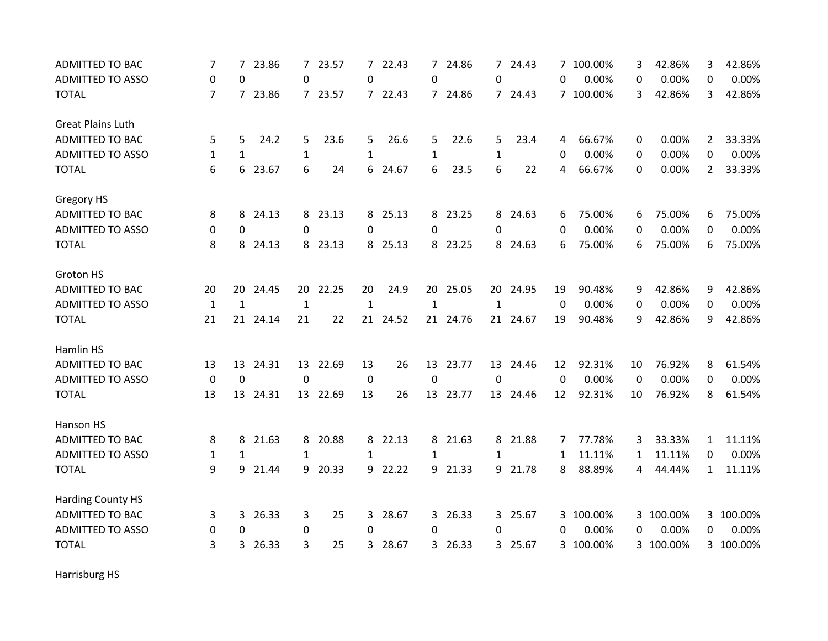| <b>ADMITTED TO BAC</b>   | 7              | 7        | 23.86    |              | 7 23.57  | 7            | 22.43    | $7^{\circ}$  | 24.86    | 7 <sup>1</sup> | 24.43    |          | 7 100.00% | 3  | 42.86%    | 3              | 42.86%    |
|--------------------------|----------------|----------|----------|--------------|----------|--------------|----------|--------------|----------|----------------|----------|----------|-----------|----|-----------|----------------|-----------|
| <b>ADMITTED TO ASSO</b>  | 0              | $\Omega$ |          | 0            |          | $\Omega$     |          | 0            |          | 0              |          | $\Omega$ | 0.00%     | 0  | 0.00%     | $\Omega$       | 0.00%     |
| <b>TOTAL</b>             | $\overline{7}$ | 7        | 23.86    |              | 7 23.57  |              | 7 22.43  |              | 7 24.86  |                | 7 24.43  |          | 7 100.00% | 3  | 42.86%    | 3              | 42.86%    |
| <b>Great Plains Luth</b> |                |          |          |              |          |              |          |              |          |                |          |          |           |    |           |                |           |
| <b>ADMITTED TO BAC</b>   | 5              | 5        | 24.2     | 5            | 23.6     | 5            | 26.6     | 5.           | 22.6     | 5              | 23.4     | 4        | 66.67%    | 0  | 0.00%     | $\overline{2}$ | 33.33%    |
| <b>ADMITTED TO ASSO</b>  | $\mathbf{1}$   | 1        |          | 1            |          | 1            |          | $\mathbf{1}$ |          | 1              |          | $\Omega$ | 0.00%     | 0  | 0.00%     | 0              | 0.00%     |
| <b>TOTAL</b>             | 6              | 6        | 23.67    | 6            | 24       | 6            | 24.67    | 6            | 23.5     | 6              | 22       | 4        | 66.67%    | 0  | 0.00%     | $\overline{2}$ | 33.33%    |
| Gregory HS               |                |          |          |              |          |              |          |              |          |                |          |          |           |    |           |                |           |
| ADMITTED TO BAC          | 8              | 8        | 24.13    | 8            | 23.13    | 8            | 25.13    |              | 8 23.25  |                | 8 24.63  | 6        | 75.00%    | 6  | 75.00%    | 6              | 75.00%    |
| <b>ADMITTED TO ASSO</b>  | 0              | 0        |          | 0            |          | 0            |          | 0            |          | 0              |          | 0        | 0.00%     | 0  | 0.00%     | 0              | 0.00%     |
| <b>TOTAL</b>             | 8              | 8        | 24.13    | 8            | 23.13    | 8            | 25.13    |              | 8 23.25  |                | 8 24.63  | 6        | 75.00%    | 6  | 75.00%    | 6              | 75.00%    |
| Groton HS                |                |          |          |              |          |              |          |              |          |                |          |          |           |    |           |                |           |
| <b>ADMITTED TO BAC</b>   | 20             | 20       | 24.45    | 20           | 22.25    | 20           | 24.9     | 20           | 25.05    | 20             | 24.95    | 19       | 90.48%    | 9  | 42.86%    | 9              | 42.86%    |
| <b>ADMITTED TO ASSO</b>  | $\mathbf{1}$   | 1        |          | $\mathbf{1}$ |          | $\mathbf{1}$ |          | 1            |          | 1              |          | 0        | 0.00%     | 0  | 0.00%     | 0              | 0.00%     |
| <b>TOTAL</b>             | 21             |          | 21 24.14 | 21           | 22       |              | 21 24.52 |              | 21 24.76 |                | 21 24.67 | 19       | 90.48%    | 9  | 42.86%    | 9              | 42.86%    |
| Hamlin HS                |                |          |          |              |          |              |          |              |          |                |          |          |           |    |           |                |           |
| ADMITTED TO BAC          | 13             | 13       | 24.31    | 13           | 22.69    | 13           | 26       | 13           | 23.77    | 13             | 24.46    | 12       | 92.31%    | 10 | 76.92%    | 8              | 61.54%    |
| <b>ADMITTED TO ASSO</b>  | 0              | 0        |          | 0            |          | 0            |          | 0            |          | 0              |          | 0        | 0.00%     | 0  | 0.00%     | 0              | 0.00%     |
| <b>TOTAL</b>             | 13             | 13       | 24.31    |              | 13 22.69 | 13           | 26       | 13           | 23.77    | 13             | 24.46    | 12       | 92.31%    | 10 | 76.92%    | 8              | 61.54%    |
| Hanson HS                |                |          |          |              |          |              |          |              |          |                |          |          |           |    |           |                |           |
| <b>ADMITTED TO BAC</b>   | 8              | 8        | 21.63    |              | 8 20.88  | 8            | 22.13    |              | 8 21.63  |                | 8 21.88  | 7        | 77.78%    | 3  | 33.33%    | $\mathbf{1}$   | 11.11%    |
| <b>ADMITTED TO ASSO</b>  | 1              | 1        |          | 1            |          | 1            |          | $\mathbf{1}$ |          | $\mathbf{1}$   |          | 1        | 11.11%    | 1  | 11.11%    | 0              | 0.00%     |
| <b>TOTAL</b>             | 9              | 9        | 21.44    | 9            | 20.33    | 9            | 22.22    | 9            | 21.33    |                | 9 21.78  | 8        | 88.89%    | 4  | 44.44%    | $\mathbf{1}$   | 11.11%    |
| <b>Harding County HS</b> |                |          |          |              |          |              |          |              |          |                |          |          |           |    |           |                |           |
| ADMITTED TO BAC          | 3              | 3        | 26.33    | 3            | 25       | 3            | 28.67    | 3            | 26.33    |                | 3 25.67  |          | 3 100.00% |    | 3 100.00% |                | 3 100.00% |
| <b>ADMITTED TO ASSO</b>  | 0              | $\Omega$ |          | 0            |          | 0            |          | 0            |          | 0              |          | 0        | 0.00%     | 0  | 0.00%     | 0              | 0.00%     |
| <b>TOTAL</b>             | 3              | 3        | 26.33    | 3            | 25       | 3            | 28.67    | 3            | 26.33    | 3              | 25.67    |          | 3 100.00% |    | 3 100.00% |                | 3 100.00% |

Harrisburg HS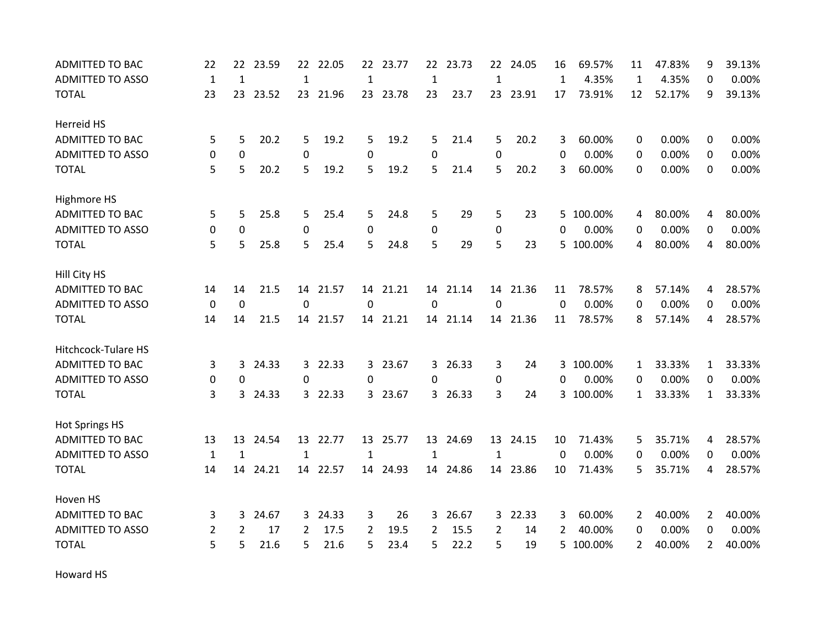| <b>ADMITTED TO BAC</b>  | 22           | 22           | 23.59    | 22           | 22.05    | 22           | 23.77    | 22           | 23.73    | 22           | 24.05    | 16           | 69.57%    | 11             | 47.83% | 9              | 39.13% |
|-------------------------|--------------|--------------|----------|--------------|----------|--------------|----------|--------------|----------|--------------|----------|--------------|-----------|----------------|--------|----------------|--------|
| <b>ADMITTED TO ASSO</b> | $\mathbf{1}$ | $\mathbf{1}$ |          | $\mathbf{1}$ |          | $\mathbf{1}$ |          | $\mathbf 1$  |          | $\mathbf{1}$ |          | $\mathbf{1}$ | 4.35%     | $\mathbf{1}$   | 4.35%  | 0              | 0.00%  |
| <b>TOTAL</b>            | 23           |              | 23 23.52 |              | 23 21.96 |              | 23 23.78 | 23           | 23.7     |              | 23 23.91 | 17           | 73.91%    | 12             | 52.17% | 9              | 39.13% |
| Herreid HS              |              |              |          |              |          |              |          |              |          |              |          |              |           |                |        |                |        |
| <b>ADMITTED TO BAC</b>  | 5            | 5            | 20.2     | 5            | 19.2     | 5            | 19.2     | 5            | 21.4     | 5            | 20.2     | 3            | 60.00%    | 0              | 0.00%  | 0              | 0.00%  |
| <b>ADMITTED TO ASSO</b> | 0            | 0            |          | 0            |          | 0            |          | 0            |          | 0            |          | 0            | 0.00%     | 0              | 0.00%  | 0              | 0.00%  |
| <b>TOTAL</b>            | 5            | 5            | 20.2     | 5            | 19.2     | 5            | 19.2     | 5            | 21.4     | 5            | 20.2     | 3            | 60.00%    | $\mathbf{0}$   | 0.00%  | $\Omega$       | 0.00%  |
| Highmore HS             |              |              |          |              |          |              |          |              |          |              |          |              |           |                |        |                |        |
| ADMITTED TO BAC         | 5            | 5            | 25.8     | 5            | 25.4     | 5            | 24.8     | 5            | 29       | 5            | 23       |              | 5 100.00% | 4              | 80.00% | 4              | 80.00% |
| <b>ADMITTED TO ASSO</b> | $\mathbf 0$  | 0            |          | $\mathbf 0$  |          | 0            |          | 0            |          | 0            |          | 0            | 0.00%     | 0              | 0.00%  | 0              | 0.00%  |
| <b>TOTAL</b>            | 5            | 5            | 25.8     | 5            | 25.4     | 5            | 24.8     | 5            | 29       | 5            | 23       | 5            | 100.00%   | 4              | 80.00% | 4              | 80.00% |
| Hill City HS            |              |              |          |              |          |              |          |              |          |              |          |              |           |                |        |                |        |
| <b>ADMITTED TO BAC</b>  | 14           | 14           | 21.5     | 14           | 21.57    | 14           | 21.21    | 14           | 21.14    |              | 14 21.36 | 11           | 78.57%    | 8              | 57.14% | 4              | 28.57% |
| <b>ADMITTED TO ASSO</b> | 0            | 0            |          | $\Omega$     |          | 0            |          | 0            |          | 0            |          | 0            | 0.00%     | 0              | 0.00%  | 0              | 0.00%  |
| <b>TOTAL</b>            | 14           | 14           | 21.5     |              | 14 21.57 |              | 14 21.21 |              | 14 21.14 |              | 14 21.36 | 11           | 78.57%    | 8              | 57.14% | 4              | 28.57% |
| Hitchcock-Tulare HS     |              |              |          |              |          |              |          |              |          |              |          |              |           |                |        |                |        |
| <b>ADMITTED TO BAC</b>  | 3            | 3            | 24.33    |              | 3 22.33  | 3            | 23.67    | 3            | 26.33    | 3            | 24       |              | 3 100.00% | 1              | 33.33% | 1              | 33.33% |
| <b>ADMITTED TO ASSO</b> | 0            | 0            |          | 0            |          | 0            |          | 0            |          | 0            |          | 0            | 0.00%     | 0              | 0.00%  | 0              | 0.00%  |
| <b>TOTAL</b>            | 3            | 3            | 24.33    |              | 3 22.33  |              | 3 23.67  |              | 3 26.33  | 3            | 24       |              | 3 100.00% | $\mathbf{1}$   | 33.33% | $\mathbf{1}$   | 33.33% |
| <b>Hot Springs HS</b>   |              |              |          |              |          |              |          |              |          |              |          |              |           |                |        |                |        |
| ADMITTED TO BAC         | 13           | 13           | 24.54    |              | 13 22.77 |              | 13 25.77 |              | 13 24.69 |              | 13 24.15 | 10           | 71.43%    | 5              | 35.71% | 4              | 28.57% |
| <b>ADMITTED TO ASSO</b> | $\mathbf{1}$ | $\mathbf{1}$ |          | 1            |          | $\mathbf{1}$ |          | $\mathbf{1}$ |          | 1            |          | $\Omega$     | 0.00%     | 0              | 0.00%  | 0              | 0.00%  |
| <b>TOTAL</b>            | 14           | 14           | 24.21    | 14           | 22.57    | 14           | 24.93    | 14           | 24.86    |              | 14 23.86 | 10           | 71.43%    | 5              | 35.71% | 4              | 28.57% |
| Hoven HS                |              |              |          |              |          |              |          |              |          |              |          |              |           |                |        |                |        |
| ADMITTED TO BAC         | 3            | 3            | 24.67    |              | 3 24.33  | 3            | 26       | 3            | 26.67    |              | 3 22.33  | 3            | 60.00%    | $\overline{2}$ | 40.00% | $\overline{2}$ | 40.00% |
| <b>ADMITTED TO ASSO</b> | 2            | 2            | 17       | 2            | 17.5     | 2            | 19.5     | 2            | 15.5     | 2            | 14       | 2            | 40.00%    | 0              | 0.00%  | 0              | 0.00%  |
| <b>TOTAL</b>            | 5            | 5            | 21.6     | 5.           | 21.6     | 5            | 23.4     | 5            | 22.2     | 5            | 19       | 5.           | 100.00%   | 2              | 40.00% | $\overline{2}$ | 40.00% |

Howard HS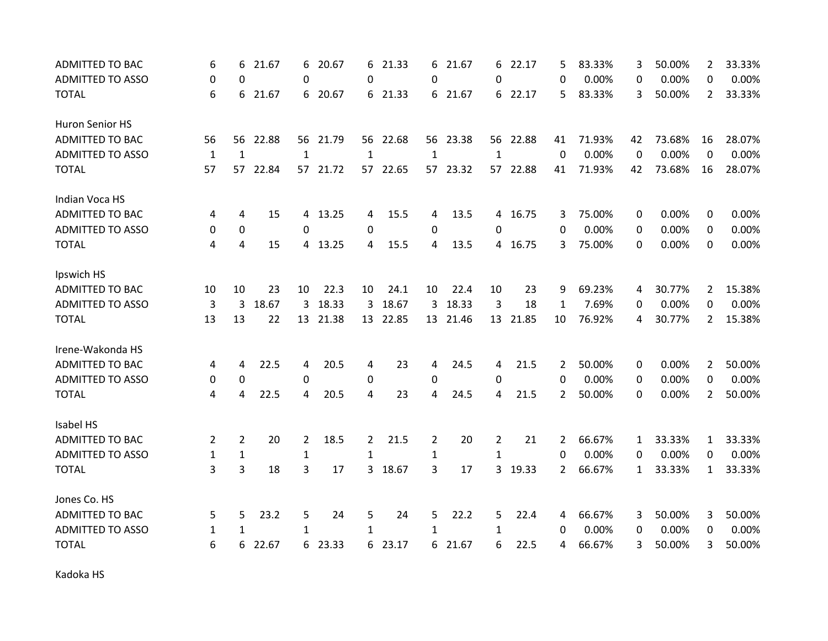| <b>ADMITTED TO BAC</b>  | 6              | 6              | 21.67 | 6              | 20.67    | 6              | 21.33    | 6  | 21.67    | 6              | 22.17    | 5              | 83.33% | 3  | 50.00% | $\overline{2}$ | 33.33% |
|-------------------------|----------------|----------------|-------|----------------|----------|----------------|----------|----|----------|----------------|----------|----------------|--------|----|--------|----------------|--------|
| <b>ADMITTED TO ASSO</b> | $\Omega$       | $\Omega$       |       | 0              |          | 0              |          | 0  |          | 0              |          | 0              | 0.00%  | 0  | 0.00%  | 0              | 0.00%  |
| <b>TOTAL</b>            | 6              | 6              | 21.67 | 6              | 20.67    | 6              | 21.33    |    | 6 21.67  |                | 6 22.17  | 5              | 83.33% | 3  | 50.00% | 2              | 33.33% |
| Huron Senior HS         |                |                |       |                |          |                |          |    |          |                |          |                |        |    |        |                |        |
| ADMITTED TO BAC         | 56             | 56             | 22.88 |                | 56 21.79 |                | 56 22.68 |    | 56 23.38 |                | 56 22.88 | 41             | 71.93% | 42 | 73.68% | 16             | 28.07% |
| <b>ADMITTED TO ASSO</b> | $\mathbf{1}$   | $\mathbf{1}$   |       | 1              |          | 1              |          | 1  |          | 1              |          | 0              | 0.00%  | 0  | 0.00%  | 0              | 0.00%  |
| <b>TOTAL</b>            | 57             | 57             | 22.84 |                | 57 21.72 | 57             | 22.65    |    | 57 23.32 | 57             | 22.88    | 41             | 71.93% | 42 | 73.68% | 16             | 28.07% |
| Indian Voca HS          |                |                |       |                |          |                |          |    |          |                |          |                |        |    |        |                |        |
| <b>ADMITTED TO BAC</b>  | 4              | 4              | 15    |                | 4 13.25  | 4              | 15.5     | 4  | 13.5     |                | 4 16.75  | 3              | 75.00% | 0  | 0.00%  | 0              | 0.00%  |
| <b>ADMITTED TO ASSO</b> | 0              | $\mathbf 0$    |       | 0              |          | 0              |          | 0  |          | 0              |          | 0              | 0.00%  | 0  | 0.00%  | $\Omega$       | 0.00%  |
| <b>TOTAL</b>            | 4              | 4              | 15    | 4              | 13.25    | 4              | 15.5     | 4  | 13.5     |                | 4 16.75  | 3              | 75.00% | 0  | 0.00%  | 0              | 0.00%  |
| Ipswich HS              |                |                |       |                |          |                |          |    |          |                |          |                |        |    |        |                |        |
| <b>ADMITTED TO BAC</b>  | 10             | 10             | 23    | 10             | 22.3     | 10             | 24.1     | 10 | 22.4     | 10             | 23       | 9              | 69.23% | 4  | 30.77% | 2              | 15.38% |
| <b>ADMITTED TO ASSO</b> | 3              | 3              | 18.67 | 3              | 18.33    | 3              | 18.67    | 3  | 18.33    | 3              | 18       | 1              | 7.69%  | 0  | 0.00%  | 0              | 0.00%  |
| <b>TOTAL</b>            | 13             | 13             | 22    |                | 13 21.38 |                | 13 22.85 |    | 13 21.46 |                | 13 21.85 | 10             | 76.92% | 4  | 30.77% | $\overline{2}$ | 15.38% |
| Irene-Wakonda HS        |                |                |       |                |          |                |          |    |          |                |          |                |        |    |        |                |        |
| <b>ADMITTED TO BAC</b>  | 4              | 4              | 22.5  | 4              | 20.5     | 4              | 23       | 4  | 24.5     | 4              | 21.5     | 2              | 50.00% | 0  | 0.00%  | $\overline{2}$ | 50.00% |
| <b>ADMITTED TO ASSO</b> | 0              | $\mathbf 0$    |       | 0              |          | 0              |          | 0  |          | 0              |          | $\Omega$       | 0.00%  | 0  | 0.00%  | 0              | 0.00%  |
| <b>TOTAL</b>            | 4              | 4              | 22.5  | 4              | 20.5     | 4              | 23       | 4  | 24.5     | 4              | 21.5     | $\overline{2}$ | 50.00% | 0  | 0.00%  | $\overline{2}$ | 50.00% |
| Isabel HS               |                |                |       |                |          |                |          |    |          |                |          |                |        |    |        |                |        |
| <b>ADMITTED TO BAC</b>  | $\overline{2}$ | $\overline{2}$ | 20    | $\overline{2}$ | 18.5     | $\overline{2}$ | 21.5     | 2  | 20       | $\overline{2}$ | 21       | 2              | 66.67% | 1  | 33.33% | 1              | 33.33% |
| <b>ADMITTED TO ASSO</b> | 1              | 1              |       | $\mathbf{1}$   |          | 1              |          | 1  |          | 1              |          | 0              | 0.00%  | 0  | 0.00%  | 0              | 0.00%  |
| <b>TOTAL</b>            | 3              | 3              | 18    | 3              | 17       | 3              | 18.67    | 3  | 17       | 3              | 19.33    | 2              | 66.67% | 1  | 33.33% | $\mathbf{1}$   | 33.33% |
| Jones Co. HS            |                |                |       |                |          |                |          |    |          |                |          |                |        |    |        |                |        |
| ADMITTED TO BAC         | 5              | 5              | 23.2  | 5              | 24       | 5              | 24       | 5  | 22.2     | 5              | 22.4     | 4              | 66.67% | 3  | 50.00% | 3              | 50.00% |
| <b>ADMITTED TO ASSO</b> | 1              | 1              |       | 1              |          | 1              |          | 1  |          | $\mathbf{1}$   |          | 0              | 0.00%  | 0  | 0.00%  | 0              | 0.00%  |
| <b>TOTAL</b>            | 6              | 6              | 22.67 | 6              | 23.33    | 6              | 23.17    | 6  | 21.67    | 6              | 22.5     | 4              | 66.67% | 3  | 50.00% | 3              | 50.00% |

Kadoka HS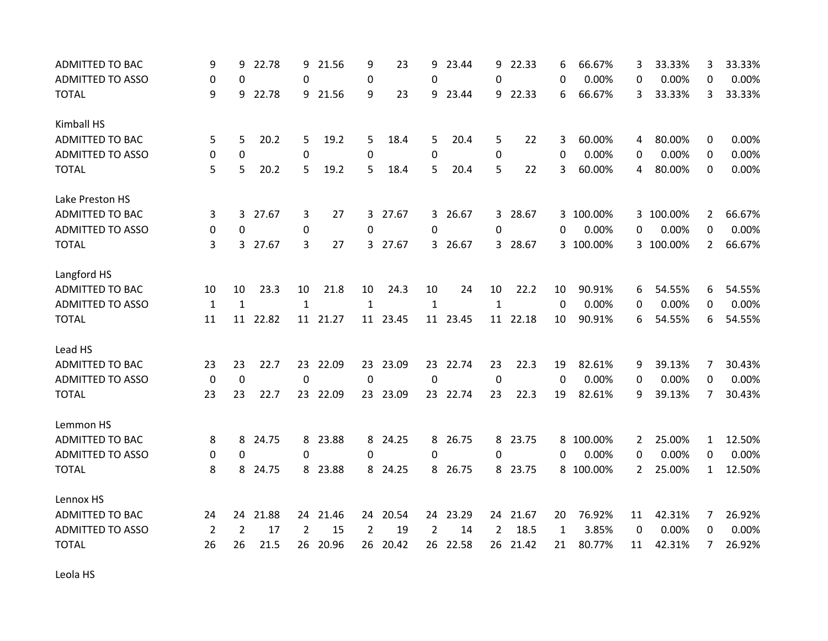| <b>ADMITTED TO BAC</b>  | 9              | 9              | 22.78    | 9              | 21.56    | 9              | 23       | 9              | 23.44    | 9              | 22.33    | 6           | 66.67%    | 3                | 33.33%    | 3              | 33.33% |
|-------------------------|----------------|----------------|----------|----------------|----------|----------------|----------|----------------|----------|----------------|----------|-------------|-----------|------------------|-----------|----------------|--------|
| <b>ADMITTED TO ASSO</b> | 0              | 0              |          | 0              |          | 0              |          | 0              |          | 0              |          | 0           | 0.00%     | 0                | 0.00%     | 0              | 0.00%  |
| <b>TOTAL</b>            | 9              | 9              | 22.78    |                | 9 21.56  | 9              | 23       | 9              | 23.44    |                | 9 22.33  | 6           | 66.67%    | 3                | 33.33%    | 3              | 33.33% |
| Kimball HS              |                |                |          |                |          |                |          |                |          |                |          |             |           |                  |           |                |        |
| <b>ADMITTED TO BAC</b>  | 5              | 5              | 20.2     | 5              | 19.2     | 5              | 18.4     | 5              | 20.4     | 5              | 22       | 3           | 60.00%    | 4                | 80.00%    | 0              | 0.00%  |
| <b>ADMITTED TO ASSO</b> | 0              | 0              |          | 0              |          | 0              |          | 0              |          | 0              |          | $\Omega$    | 0.00%     | 0                | 0.00%     | 0              | 0.00%  |
| <b>TOTAL</b>            | 5              | 5              | 20.2     | 5              | 19.2     | 5              | 18.4     | 5              | 20.4     | 5              | 22       | 3           | 60.00%    | 4                | 80.00%    | 0              | 0.00%  |
| Lake Preston HS         |                |                |          |                |          |                |          |                |          |                |          |             |           |                  |           |                |        |
| <b>ADMITTED TO BAC</b>  | 3              | $\overline{3}$ | 27.67    | 3              | 27       |                | 3 27.67  |                | 3 26.67  |                | 3 28.67  |             | 3 100.00% |                  | 3 100.00% | $\overline{2}$ | 66.67% |
| <b>ADMITTED TO ASSO</b> | 0              | 0              |          | 0              |          | 0              |          | 0              |          | 0              |          | 0           | 0.00%     | 0                | 0.00%     | $\Omega$       | 0.00%  |
| <b>TOTAL</b>            | 3              | 3              | 27.67    | 3              | 27       | 3              | 27.67    |                | 3 26.67  |                | 3 28.67  |             | 3 100.00% |                  | 3 100.00% | $\overline{2}$ | 66.67% |
| Langford HS             |                |                |          |                |          |                |          |                |          |                |          |             |           |                  |           |                |        |
| <b>ADMITTED TO BAC</b>  | 10             | 10             | 23.3     | 10             | 21.8     | 10             | 24.3     | 10             | 24       | 10             | 22.2     | 10          | 90.91%    | 6                | 54.55%    | 6              | 54.55% |
| <b>ADMITTED TO ASSO</b> | $\mathbf{1}$   | $\mathbf{1}$   |          | $\mathbf{1}$   |          | $\mathbf{1}$   |          | $\mathbf{1}$   |          | $\mathbf{1}$   |          | $\mathbf 0$ | 0.00%     | 0                | 0.00%     | 0              | 0.00%  |
| <b>TOTAL</b>            | 11             |                | 11 22.82 |                | 11 21.27 |                | 11 23.45 |                | 11 23.45 |                | 11 22.18 | 10          | 90.91%    | 6                | 54.55%    | 6              | 54.55% |
| Lead HS                 |                |                |          |                |          |                |          |                |          |                |          |             |           |                  |           |                |        |
| ADMITTED TO BAC         | 23             | 23             | 22.7     | 23             | 22.09    | 23             | 23.09    | 23             | 22.74    | 23             | 22.3     | 19          | 82.61%    | 9                | 39.13%    | 7              | 30.43% |
| <b>ADMITTED TO ASSO</b> | 0              | $\mathbf 0$    |          | 0              |          | 0              |          | 0              |          | 0              |          | $\Omega$    | 0.00%     | 0                | 0.00%     | $\Omega$       | 0.00%  |
| <b>TOTAL</b>            | 23             | 23             | 22.7     |                | 23 22.09 | 23             | 23.09    |                | 23 22.74 | 23             | 22.3     | 19          | 82.61%    | 9                | 39.13%    | 7              | 30.43% |
| Lemmon HS               |                |                |          |                |          |                |          |                |          |                |          |             |           |                  |           |                |        |
| <b>ADMITTED TO BAC</b>  | 8              | 8              | 24.75    | 8              | 23.88    | 8              | 24.25    | 8              | 26.75    |                | 8 23.75  | 8           | 100.00%   | 2                | 25.00%    | 1              | 12.50% |
| <b>ADMITTED TO ASSO</b> | 0              | 0              |          | 0              |          | 0              |          | 0              |          | 0              |          | 0           | 0.00%     | $\Omega$         | 0.00%     | 0              | 0.00%  |
| <b>TOTAL</b>            | 8              | 8              | 24.75    | 8              | 23.88    | 8              | 24.25    | 8              | 26.75    |                | 8 23.75  |             | 8 100.00% | $\overline{2}$   | 25.00%    | $\mathbf{1}$   | 12.50% |
| Lennox HS               |                |                |          |                |          |                |          |                |          |                |          |             |           |                  |           |                |        |
| <b>ADMITTED TO BAC</b>  | 24             | 24             | 21.88    |                | 24 21.46 | 24             | 20.54    |                | 24 23.29 |                | 24 21.67 | 20          | 76.92%    | 11               | 42.31%    | 7              | 26.92% |
| <b>ADMITTED TO ASSO</b> | $\overline{2}$ | $\overline{2}$ | 17       | $\overline{2}$ | 15       | $\overline{2}$ | 19       | $\overline{2}$ | 14       | $\overline{2}$ | 18.5     | 1           | 3.85%     | $\boldsymbol{0}$ | 0.00%     | 0              | 0.00%  |
| <b>TOTAL</b>            | 26             | 26             | 21.5     | 26             | 20.96    | 26             | 20.42    | 26             | 22.58    | 26             | 21.42    | 21          | 80.77%    | 11               | 42.31%    | 7              | 26.92% |

Leola HS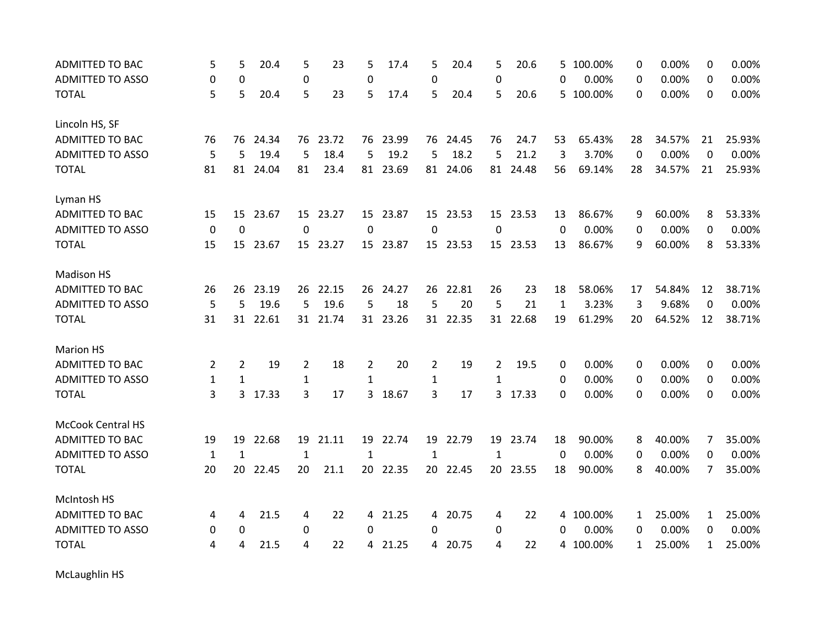| <b>ADMITTED TO BAC</b>   | 5            | 5            | 20.4     | 5            | 23       | 5               | 17.4     | 5              | 20.4     | 5              | 20.6     | 5            | 100.00%   | 0            | 0.00%  | 0            | 0.00%  |
|--------------------------|--------------|--------------|----------|--------------|----------|-----------------|----------|----------------|----------|----------------|----------|--------------|-----------|--------------|--------|--------------|--------|
| <b>ADMITTED TO ASSO</b>  | 0            | 0            |          | 0            |          | 0               |          | 0              |          | 0              |          | 0            | 0.00%     | 0            | 0.00%  | 0            | 0.00%  |
| <b>TOTAL</b>             | 5            | 5            | 20.4     | 5            | 23       | 5               | 17.4     | 5              | 20.4     | 5              | 20.6     |              | 5 100.00% | 0            | 0.00%  | 0            | 0.00%  |
| Lincoln HS, SF           |              |              |          |              |          |                 |          |                |          |                |          |              |           |              |        |              |        |
| <b>ADMITTED TO BAC</b>   | 76           | 76           | 24.34    | 76           | 23.72    |                 | 76 23.99 |                | 76 24.45 | 76             | 24.7     | 53           | 65.43%    | 28           | 34.57% | 21           | 25.93% |
| <b>ADMITTED TO ASSO</b>  | 5            | 5            | 19.4     | 5            | 18.4     | 5               | 19.2     | 5              | 18.2     | 5              | 21.2     | 3            | 3.70%     | 0            | 0.00%  | 0            | 0.00%  |
| <b>TOTAL</b>             | 81           | 81           | 24.04    | 81           | 23.4     | 81              | 23.69    | 81             | 24.06    | 81             | 24.48    | 56           | 69.14%    | 28           | 34.57% | 21           | 25.93% |
| Lyman HS                 |              |              |          |              |          |                 |          |                |          |                |          |              |           |              |        |              |        |
| ADMITTED TO BAC          | 15           |              | 15 23.67 |              | 15 23.27 |                 | 15 23.87 |                | 15 23.53 |                | 15 23.53 | 13           | 86.67%    | 9            | 60.00% | 8            | 53.33% |
| <b>ADMITTED TO ASSO</b>  | 0            | $\mathbf 0$  |          | $\Omega$     |          | $\Omega$        |          | 0              |          | 0              |          | $\Omega$     | 0.00%     | 0            | 0.00%  | 0            | 0.00%  |
| <b>TOTAL</b>             | 15           | 15           | 23.67    | 15           | 23.27    |                 | 15 23.87 |                | 15 23.53 |                | 15 23.53 | 13           | 86.67%    | 9            | 60.00% | 8            | 53.33% |
| <b>Madison HS</b>        |              |              |          |              |          |                 |          |                |          |                |          |              |           |              |        |              |        |
| <b>ADMITTED TO BAC</b>   | 26           | 26           | 23.19    | 26           | 22.15    | 26              | 24.27    | 26             | 22.81    | 26             | 23       | 18           | 58.06%    | 17           | 54.84% | 12           | 38.71% |
| <b>ADMITTED TO ASSO</b>  | 5            | 5            | 19.6     | 5            | 19.6     | 5               | 18       | 5              | 20       | 5              | 21       | $\mathbf{1}$ | 3.23%     | 3            | 9.68%  | 0            | 0.00%  |
| <b>TOTAL</b>             | 31           | 31           | 22.61    | 31           | 21.74    |                 | 31 23.26 |                | 31 22.35 |                | 31 22.68 | 19           | 61.29%    | 20           | 64.52% | 12           | 38.71% |
| <b>Marion HS</b>         |              |              |          |              |          |                 |          |                |          |                |          |              |           |              |        |              |        |
| <b>ADMITTED TO BAC</b>   | 2            | 2            | 19       | 2            | 18       | 2               | 20       | $\overline{2}$ | 19       | $\overline{2}$ | 19.5     | 0            | 0.00%     | 0            | 0.00%  | 0            | 0.00%  |
| <b>ADMITTED TO ASSO</b>  | $\mathbf{1}$ | $\mathbf{1}$ |          | $\mathbf{1}$ |          | 1               |          | $\mathbf{1}$   |          | $\mathbf{1}$   |          | 0            | 0.00%     | 0            | 0.00%  | 0            | 0.00%  |
| <b>TOTAL</b>             | 3            | 3            | 17.33    | 3            | 17       | 3               | 18.67    | 3              | 17       | $\overline{3}$ | 17.33    | 0            | 0.00%     | 0            | 0.00%  | 0            | 0.00%  |
| <b>McCook Central HS</b> |              |              |          |              |          |                 |          |                |          |                |          |              |           |              |        |              |        |
| <b>ADMITTED TO BAC</b>   | 19           | 19           | 22.68    | 19           | 21.11    |                 | 19 22.74 | 19             | 22.79    | 19             | 23.74    | 18           | 90.00%    | 8            | 40.00% | 7            | 35.00% |
| <b>ADMITTED TO ASSO</b>  | $\mathbf{1}$ | 1            |          | $\mathbf{1}$ |          | $\mathbf{1}$    |          | 1              |          | 1              |          | 0            | 0.00%     | 0            | 0.00%  | 0            | 0.00%  |
| <b>TOTAL</b>             | 20           | 20           | 22.45    | 20           | 21.1     | 20 <sub>2</sub> | 22.35    |                | 20 22.45 | 20             | 23.55    | 18           | 90.00%    | 8            | 40.00% | 7            | 35.00% |
| McIntosh HS              |              |              |          |              |          |                 |          |                |          |                |          |              |           |              |        |              |        |
| <b>ADMITTED TO BAC</b>   | 4            | 4            | 21.5     | 4            | 22       | 4               | 21.25    |                | 4 20.75  | 4              | 22       | 4            | 100.00%   | 1            | 25.00% | $\mathbf{1}$ | 25.00% |
| <b>ADMITTED TO ASSO</b>  | 0            | 0            |          | 0            |          | $\Omega$        |          | 0              |          | 0              |          | 0            | 0.00%     | 0            | 0.00%  | 0            | 0.00%  |
| <b>TOTAL</b>             | 4            | 4            | 21.5     | 4            | 22       | 4               | 21.25    | 4              | 20.75    | 4              | 22       | 4            | 100.00%   | $\mathbf{1}$ | 25.00% | 1            | 25.00% |

McLaughlin HS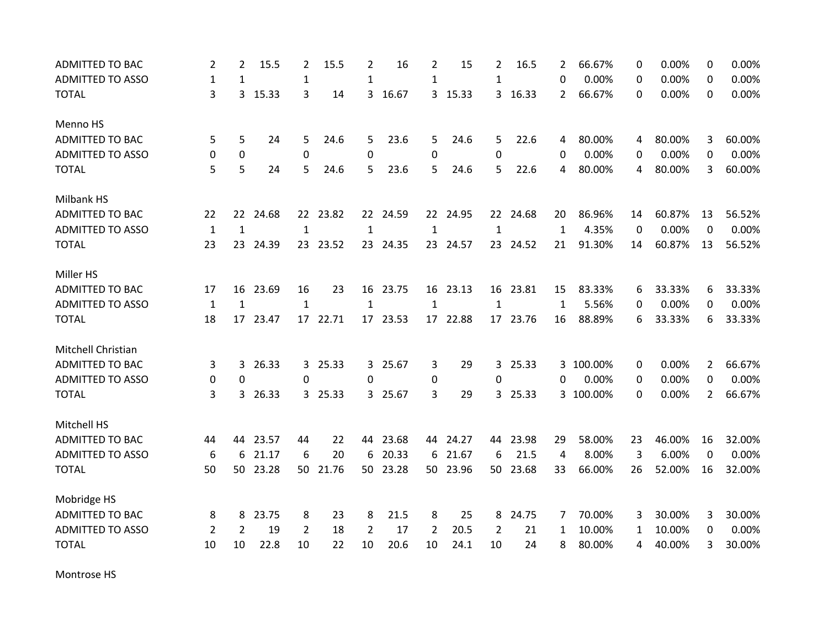| <b>ADMITTED TO BAC</b>  | $\overline{2}$ | 2            | 15.5     | $\overline{2}$ | 15.5     | 2            | 16       | $\overline{2}$ | 15       | $\overline{2}$ | 16.5     | 2            | 66.67%    | 0           | 0.00%  | 0              | 0.00%  |
|-------------------------|----------------|--------------|----------|----------------|----------|--------------|----------|----------------|----------|----------------|----------|--------------|-----------|-------------|--------|----------------|--------|
| <b>ADMITTED TO ASSO</b> | $\mathbf{1}$   | $\mathbf{1}$ |          | 1              |          | 1            |          | 1              |          | $\mathbf{1}$   |          | 0            | 0.00%     | 0           | 0.00%  | 0              | 0.00%  |
| <b>TOTAL</b>            | 3              | 3            | 15.33    | 3              | 14       | 3            | 16.67    |                | 3 15.33  | 3 <sup>1</sup> | 16.33    | 2            | 66.67%    | 0           | 0.00%  | 0              | 0.00%  |
| Menno HS                |                |              |          |                |          |              |          |                |          |                |          |              |           |             |        |                |        |
| ADMITTED TO BAC         | 5              | 5            | 24       | 5              | 24.6     | 5            | 23.6     | 5.             | 24.6     | 5              | 22.6     | 4            | 80.00%    | 4           | 80.00% | 3              | 60.00% |
| <b>ADMITTED TO ASSO</b> | 0              | $\mathbf 0$  |          | $\mathbf 0$    |          | 0            |          | 0              |          | 0              |          | 0            | 0.00%     | 0           | 0.00%  | 0              | 0.00%  |
| <b>TOTAL</b>            | 5              | 5            | 24       | 5              | 24.6     | 5            | 23.6     | 5.             | 24.6     | 5              | 22.6     | 4            | 80.00%    | 4           | 80.00% | 3              | 60.00% |
| Milbank HS              |                |              |          |                |          |              |          |                |          |                |          |              |           |             |        |                |        |
| <b>ADMITTED TO BAC</b>  | 22             |              | 22 24.68 |                | 22 23.82 |              | 22 24.59 |                | 22 24.95 |                | 22 24.68 | 20           | 86.96%    | 14          | 60.87% | 13             | 56.52% |
| <b>ADMITTED TO ASSO</b> | $\mathbf 1$    | $\mathbf{1}$ |          | $\mathbf{1}$   |          | $\mathbf{1}$ |          | $\mathbf{1}$   |          | $\mathbf{1}$   |          | $\mathbf{1}$ | 4.35%     | $\mathbf 0$ | 0.00%  | 0              | 0.00%  |
| <b>TOTAL</b>            | 23             |              | 23 24.39 |                | 23 23.52 |              | 23 24.35 |                | 23 24.57 |                | 23 24.52 | 21           | 91.30%    | 14          | 60.87% | 13             | 56.52% |
| Miller HS               |                |              |          |                |          |              |          |                |          |                |          |              |           |             |        |                |        |
| <b>ADMITTED TO BAC</b>  | 17             | 16           | 23.69    | 16             | 23       | 16           | 23.75    |                | 16 23.13 |                | 16 23.81 | 15           | 83.33%    | 6           | 33.33% | 6              | 33.33% |
| <b>ADMITTED TO ASSO</b> | $\mathbf{1}$   | $\mathbf{1}$ |          | $\mathbf{1}$   |          | $\mathbf{1}$ |          | $\mathbf{1}$   |          | $\mathbf{1}$   |          | $\mathbf{1}$ | 5.56%     | 0           | 0.00%  | 0              | 0.00%  |
| <b>TOTAL</b>            | 18             | 17           | 23.47    |                | 17 22.71 |              | 17 23.53 |                | 17 22.88 |                | 17 23.76 | 16           | 88.89%    | 6           | 33.33% | 6              | 33.33% |
| Mitchell Christian      |                |              |          |                |          |              |          |                |          |                |          |              |           |             |        |                |        |
| <b>ADMITTED TO BAC</b>  | 3              | 3            | 26.33    |                | 3 25.33  | 3            | 25.67    | 3              | 29       | 3 <sup>1</sup> | 25.33    |              | 3 100.00% | 0           | 0.00%  | $\overline{2}$ | 66.67% |
| <b>ADMITTED TO ASSO</b> | 0              | $\mathbf 0$  |          | 0              |          | 0            |          | 0              |          | 0              |          | 0            | 0.00%     | 0           | 0.00%  | 0              | 0.00%  |
| <b>TOTAL</b>            | 3              | $\mathbf{3}$ | 26.33    |                | 3 25.33  |              | 3 25.67  | 3              | 29       |                | 3 25.33  |              | 3 100.00% | $\Omega$    | 0.00%  | $\overline{2}$ | 66.67% |
| Mitchell HS             |                |              |          |                |          |              |          |                |          |                |          |              |           |             |        |                |        |
| <b>ADMITTED TO BAC</b>  | 44             | 44           | 23.57    | 44             | 22       |              | 44 23.68 |                | 44 24.27 |                | 44 23.98 | 29           | 58.00%    | 23          | 46.00% | 16             | 32.00% |
| <b>ADMITTED TO ASSO</b> | 6              | 6            | 21.17    | 6              | 20       | 6            | 20.33    | 6              | 21.67    | 6              | 21.5     | 4            | 8.00%     | 3           | 6.00%  | $\Omega$       | 0.00%  |
| <b>TOTAL</b>            | 50             | 50           | 23.28    | 50             | 21.76    | 50           | 23.28    |                | 50 23.96 | 50             | 23.68    | 33           | 66.00%    | 26          | 52.00% | 16             | 32.00% |
| Mobridge HS             |                |              |          |                |          |              |          |                |          |                |          |              |           |             |        |                |        |
| ADMITTED TO BAC         | 8              | 8            | 23.75    | 8              | 23       | 8            | 21.5     | 8              | 25       | 8              | 24.75    | 7            | 70.00%    | 3           | 30.00% | 3              | 30.00% |
| <b>ADMITTED TO ASSO</b> | 2              | 2            | 19       | 2              | 18       | 2            | 17       | 2              | 20.5     | 2              | 21       | 1            | 10.00%    | 1           | 10.00% | 0              | 0.00%  |
| <b>TOTAL</b>            | 10             | 10           | 22.8     | 10             | 22       | 10           | 20.6     | 10             | 24.1     | 10             | 24       | 8            | 80.00%    | 4           | 40.00% | 3              | 30.00% |

Montrose HS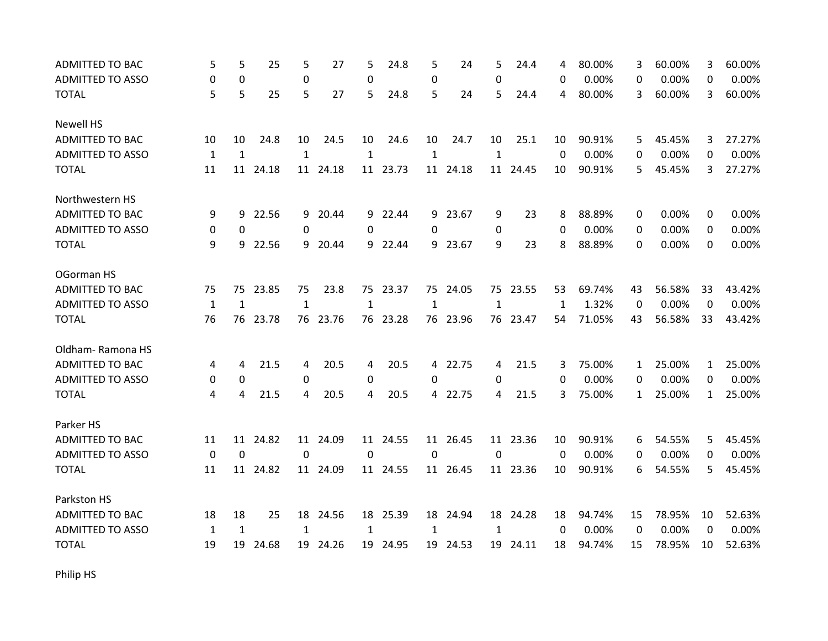| <b>ADMITTED TO BAC</b>  | 5            | 5            | 25       | 5            | 27       | 5            | 24.8     | 5            | 24       | 5            | 24.4     | 4        | 80.00% | 3            | 60.00% | 3            | 60.00% |
|-------------------------|--------------|--------------|----------|--------------|----------|--------------|----------|--------------|----------|--------------|----------|----------|--------|--------------|--------|--------------|--------|
| <b>ADMITTED TO ASSO</b> | 0            | 0            |          | 0            |          | 0            |          | 0            |          | 0            |          | 0        | 0.00%  | 0            | 0.00%  | 0            | 0.00%  |
| <b>TOTAL</b>            | 5            | 5            | 25       | 5            | 27       | 5            | 24.8     | 5            | 24       | 5            | 24.4     | 4        | 80.00% | 3            | 60.00% | 3            | 60.00% |
| <b>Newell HS</b>        |              |              |          |              |          |              |          |              |          |              |          |          |        |              |        |              |        |
| <b>ADMITTED TO BAC</b>  | 10           | 10           | 24.8     | 10           | 24.5     | 10           | 24.6     | 10           | 24.7     | 10           | 25.1     | 10       | 90.91% | 5            | 45.45% | 3            | 27.27% |
| <b>ADMITTED TO ASSO</b> | $\mathbf{1}$ | $\mathbf{1}$ |          | $\mathbf{1}$ |          | $\mathbf{1}$ |          | $\mathbf{1}$ |          | $\mathbf{1}$ |          | $\Omega$ | 0.00%  | 0            | 0.00%  | 0            | 0.00%  |
| <b>TOTAL</b>            | 11           | 11           | 24.18    | 11           | 24.18    | 11           | 23.73    | 11           | 24.18    | 11           | 24.45    | 10       | 90.91% | 5            | 45.45% | 3            | 27.27% |
| Northwestern HS         |              |              |          |              |          |              |          |              |          |              |          |          |        |              |        |              |        |
| <b>ADMITTED TO BAC</b>  | 9            | 9            | 22.56    |              | 9 20.44  |              | 9 22.44  |              | 9 23.67  | 9            | 23       | 8        | 88.89% | 0            | 0.00%  | 0            | 0.00%  |
| <b>ADMITTED TO ASSO</b> | 0            | $\Omega$     |          | 0            |          | 0            |          | 0            |          | 0            |          | $\Omega$ | 0.00%  | 0            | 0.00%  | 0            | 0.00%  |
| <b>TOTAL</b>            | 9            | 9            | 22.56    | 9            | 20.44    | 9            | 22.44    |              | 9 23.67  | 9            | 23       | 8        | 88.89% | 0            | 0.00%  | 0            | 0.00%  |
| OGorman HS              |              |              |          |              |          |              |          |              |          |              |          |          |        |              |        |              |        |
| <b>ADMITTED TO BAC</b>  | 75           | 75           | 23.85    | 75           | 23.8     | 75           | 23.37    | 75           | 24.05    | 75           | 23.55    | 53       | 69.74% | 43           | 56.58% | 33           | 43.42% |
| <b>ADMITTED TO ASSO</b> | $\mathbf{1}$ | $\mathbf{1}$ |          | $\mathbf{1}$ |          | $\mathbf{1}$ |          | $\mathbf{1}$ |          | $\mathbf{1}$ |          | 1        | 1.32%  | 0            | 0.00%  | 0            | 0.00%  |
| <b>TOTAL</b>            | 76           |              | 76 23.78 |              | 76 23.76 |              | 76 23.28 |              | 76 23.96 |              | 76 23.47 | 54       | 71.05% | 43           | 56.58% | 33           | 43.42% |
| Oldham-Ramona HS        |              |              |          |              |          |              |          |              |          |              |          |          |        |              |        |              |        |
| ADMITTED TO BAC         | 4            | 4            | 21.5     | 4            | 20.5     | 4            | 20.5     |              | 4 22.75  | 4            | 21.5     | 3        | 75.00% | 1            | 25.00% | $\mathbf{1}$ | 25.00% |
| <b>ADMITTED TO ASSO</b> | 0            | 0            |          | 0            |          | 0            |          | 0            |          | 0            |          | 0        | 0.00%  | 0            | 0.00%  | $\Omega$     | 0.00%  |
| <b>TOTAL</b>            | 4            | 4            | 21.5     | 4            | 20.5     | 4            | 20.5     |              | 4 22.75  | 4            | 21.5     | 3        | 75.00% | $\mathbf{1}$ | 25.00% | $\mathbf{1}$ | 25.00% |
| Parker HS               |              |              |          |              |          |              |          |              |          |              |          |          |        |              |        |              |        |
| ADMITTED TO BAC         | 11           | 11           | 24.82    |              | 11 24.09 |              | 11 24.55 |              | 11 26.45 |              | 11 23.36 | 10       | 90.91% | 6            | 54.55% | 5            | 45.45% |
| <b>ADMITTED TO ASSO</b> | 0            | $\mathbf 0$  |          | 0            |          | 0            |          | 0            |          | 0            |          | $\Omega$ | 0.00%  | 0            | 0.00%  | 0            | 0.00%  |
| <b>TOTAL</b>            | 11           | 11           | 24.82    |              | 11 24.09 |              | 11 24.55 |              | 11 26.45 |              | 11 23.36 | 10       | 90.91% | 6            | 54.55% | 5            | 45.45% |
| Parkston HS             |              |              |          |              |          |              |          |              |          |              |          |          |        |              |        |              |        |
| <b>ADMITTED TO BAC</b>  | 18           | 18           | 25       |              | 18 24.56 |              | 18 25.39 |              | 18 24.94 |              | 18 24.28 | 18       | 94.74% | 15           | 78.95% | 10           | 52.63% |
| <b>ADMITTED TO ASSO</b> | $\mathbf{1}$ | $\mathbf{1}$ |          | 1            |          | $\mathbf{1}$ |          | 1            |          | 1            |          | 0        | 0.00%  | 0            | 0.00%  | 0            | 0.00%  |
| <b>TOTAL</b>            | 19           | 19           | 24.68    | 19           | 24.26    | 19           | 24.95    | 19           | 24.53    | 19           | 24.11    | 18       | 94.74% | 15           | 78.95% | 10           | 52.63% |

Philip HS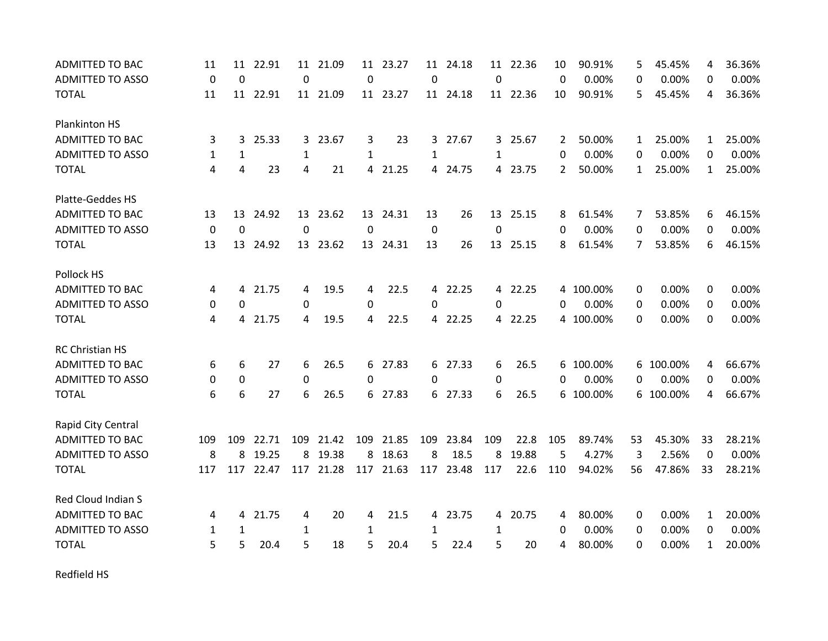| <b>ADMITTED TO BAC</b>  | 11           | 11          | 22.91    | 11          | 21.09    | 11           | 23.27    | 11           | 24.18    | 11           | 22.36    | 10       | 90.91%    | 5            | 45.45%    | 4            | 36.36% |
|-------------------------|--------------|-------------|----------|-------------|----------|--------------|----------|--------------|----------|--------------|----------|----------|-----------|--------------|-----------|--------------|--------|
| <b>ADMITTED TO ASSO</b> | $\mathbf 0$  | $\Omega$    |          | $\mathbf 0$ |          | 0            |          | $\mathbf 0$  |          | 0            |          | $\Omega$ | 0.00%     | 0            | 0.00%     | 0            | 0.00%  |
| <b>TOTAL</b>            | 11           |             | 11 22.91 |             | 11 21.09 |              | 11 23.27 |              | 11 24.18 |              | 11 22.36 | 10       | 90.91%    | 5            | 45.45%    | 4            | 36.36% |
| Plankinton HS           |              |             |          |             |          |              |          |              |          |              |          |          |           |              |           |              |        |
| <b>ADMITTED TO BAC</b>  | 3            | 3           | 25.33    |             | 3 23.67  | 3            | 23       |              | 3 27.67  |              | 3 25.67  | 2        | 50.00%    | $\mathbf{1}$ | 25.00%    | $\mathbf{1}$ | 25.00% |
| <b>ADMITTED TO ASSO</b> | $\mathbf{1}$ | 1           |          | 1           |          | $\mathbf{1}$ |          | $\mathbf{1}$ |          | $\mathbf{1}$ |          | 0        | 0.00%     | 0            | 0.00%     | 0            | 0.00%  |
| <b>TOTAL</b>            | 4            | 4           | 23       | 4           | 21       | 4            | 21.25    | 4            | 24.75    |              | 4 23.75  | 2        | 50.00%    | $\mathbf{1}$ | 25.00%    | $\mathbf{1}$ | 25.00% |
| Platte-Geddes HS        |              |             |          |             |          |              |          |              |          |              |          |          |           |              |           |              |        |
| <b>ADMITTED TO BAC</b>  | 13           |             | 13 24.92 |             | 13 23.62 |              | 13 24.31 | 13           | 26       |              | 13 25.15 | 8        | 61.54%    | 7            | 53.85%    | 6            | 46.15% |
| <b>ADMITTED TO ASSO</b> | 0            | $\mathbf 0$ |          | $\Omega$    |          | $\Omega$     |          | 0            |          | 0            |          | 0        | 0.00%     | 0            | 0.00%     | 0            | 0.00%  |
| <b>TOTAL</b>            | 13           | 13          | 24.92    |             | 13 23.62 |              | 13 24.31 | 13           | 26       | 13           | 25.15    | 8        | 61.54%    | 7            | 53.85%    | 6            | 46.15% |
| Pollock HS              |              |             |          |             |          |              |          |              |          |              |          |          |           |              |           |              |        |
| <b>ADMITTED TO BAC</b>  | 4            | 4           | 21.75    | 4           | 19.5     | 4            | 22.5     | 4            | 22.25    |              | 4 22.25  | 4        | 100.00%   | 0            | 0.00%     | 0            | 0.00%  |
| <b>ADMITTED TO ASSO</b> | 0            | 0           |          | $\mathbf 0$ |          | 0            |          | 0            |          | 0            |          | 0        | 0.00%     | 0            | 0.00%     | 0            | 0.00%  |
| <b>TOTAL</b>            | 4            | 4           | 21.75    | 4           | 19.5     | 4            | 22.5     |              | 4 22.25  |              | 4 22.25  |          | 4 100.00% | 0            | 0.00%     | 0            | 0.00%  |
| <b>RC Christian HS</b>  |              |             |          |             |          |              |          |              |          |              |          |          |           |              |           |              |        |
| <b>ADMITTED TO BAC</b>  | 6            | 6           | 27       | 6           | 26.5     | 6            | 27.83    |              | 6 27.33  | 6            | 26.5     | 6        | 100.00%   |              | 6 100.00% | 4            | 66.67% |
| <b>ADMITTED TO ASSO</b> | 0            | 0           |          | 0           |          | 0            |          | 0            |          | 0            |          | 0        | 0.00%     | 0            | 0.00%     | $\Omega$     | 0.00%  |
| <b>TOTAL</b>            | 6            | 6           | 27       | 6           | 26.5     | 6            | 27.83    |              | 6 27.33  | 6            | 26.5     |          | 6 100.00% |              | 6 100.00% | 4            | 66.67% |
| Rapid City Central      |              |             |          |             |          |              |          |              |          |              |          |          |           |              |           |              |        |
| <b>ADMITTED TO BAC</b>  | 109          | 109         | 22.71    | 109         | 21.42    | 109          | 21.85    | 109          | 23.84    | 109          | 22.8     | 105      | 89.74%    | 53           | 45.30%    | 33           | 28.21% |
| <b>ADMITTED TO ASSO</b> | 8            | 8           | 19.25    |             | 8 19.38  | 8            | 18.63    | 8            | 18.5     | 8            | 19.88    | 5        | 4.27%     | 3            | 2.56%     | 0            | 0.00%  |
| <b>TOTAL</b>            | 117          | 117         | 22.47    | 117         | 21.28    | 117          | 21.63    | 117          | 23.48    | 117          | 22.6     | 110      | 94.02%    | 56           | 47.86%    | 33           | 28.21% |
| Red Cloud Indian S      |              |             |          |             |          |              |          |              |          |              |          |          |           |              |           |              |        |
| <b>ADMITTED TO BAC</b>  | 4            | 4           | 21.75    | 4           | 20       | 4            | 21.5     | 4            | 23.75    |              | 4 20.75  | 4        | 80.00%    | 0            | 0.00%     | 1            | 20.00% |
| <b>ADMITTED TO ASSO</b> | 1            | 1           |          | 1           |          | $\mathbf{1}$ |          | 1            |          | 1            |          | 0        | 0.00%     | 0            | 0.00%     | 0            | 0.00%  |
| <b>TOTAL</b>            | 5            | 5           | 20.4     | 5           | 18       | 5            | 20.4     | 5.           | 22.4     | 5            | 20       | 4        | 80.00%    | 0            | 0.00%     | $\mathbf{1}$ | 20.00% |

Redfield HS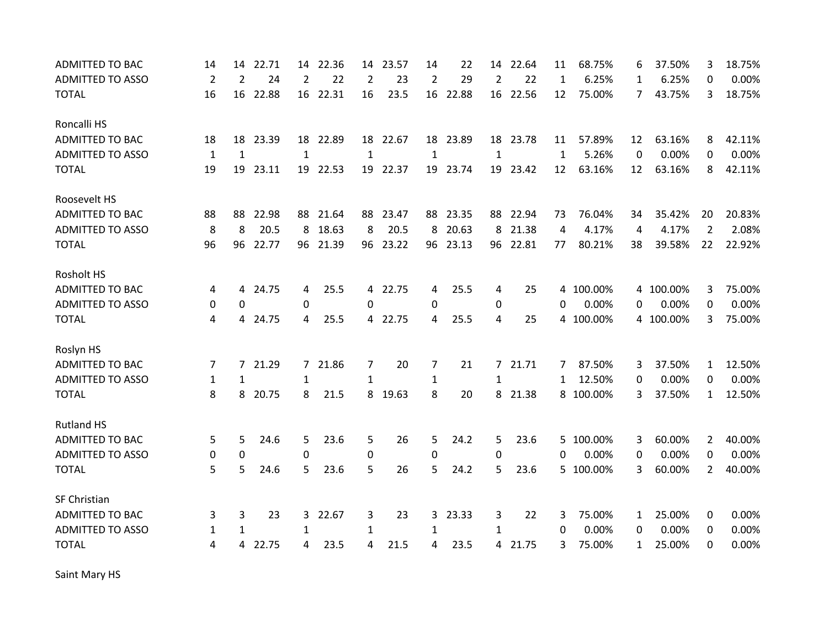| <b>ADMITTED TO BAC</b>  | 14             | 14             | 22.71 | 14             | 22.36    | 14             | 23.57    | 14             | 22       | 14           | 22.64    | 11           | 68.75%    | 6  | 37.50%    | 3              | 18.75% |
|-------------------------|----------------|----------------|-------|----------------|----------|----------------|----------|----------------|----------|--------------|----------|--------------|-----------|----|-----------|----------------|--------|
| <b>ADMITTED TO ASSO</b> | $\overline{2}$ | $\overline{2}$ | 24    | $\overline{2}$ | 22       | 2              | 23       | $\overline{2}$ | 29       | 2            | 22       | $\mathbf{1}$ | 6.25%     | 1  | 6.25%     | 0              | 0.00%  |
| <b>TOTAL</b>            | 16             | 16             | 22.88 | 16             | 22.31    | 16             | 23.5     | 16             | 22.88    |              | 16 22.56 | 12           | 75.00%    | 7  | 43.75%    | 3              | 18.75% |
| Roncalli HS             |                |                |       |                |          |                |          |                |          |              |          |              |           |    |           |                |        |
| <b>ADMITTED TO BAC</b>  | 18             | 18             | 23.39 |                | 18 22.89 |                | 18 22.67 |                | 18 23.89 |              | 18 23.78 | 11           | 57.89%    | 12 | 63.16%    | 8              | 42.11% |
| <b>ADMITTED TO ASSO</b> | $\mathbf{1}$   | 1              |       | 1              |          | 1              |          | 1              |          | 1            |          | 1            | 5.26%     | 0  | 0.00%     | 0              | 0.00%  |
| <b>TOTAL</b>            | 19             | 19             | 23.11 | 19             | 22.53    | 19             | 22.37    | 19             | 23.74    | 19           | 23.42    | 12           | 63.16%    | 12 | 63.16%    | 8              | 42.11% |
| Roosevelt HS            |                |                |       |                |          |                |          |                |          |              |          |              |           |    |           |                |        |
| ADMITTED TO BAC         | 88             | 88             | 22.98 | 88             | 21.64    |                | 88 23.47 |                | 88 23.35 |              | 88 22.94 | 73           | 76.04%    | 34 | 35.42%    | 20             | 20.83% |
| <b>ADMITTED TO ASSO</b> | 8              | 8              | 20.5  | 8              | 18.63    | 8              | 20.5     | 8              | 20.63    | 8            | 21.38    | 4            | 4.17%     | 4  | 4.17%     | $\overline{2}$ | 2.08%  |
| <b>TOTAL</b>            | 96             | 96             | 22.77 | 96             | 21.39    | 96             | 23.22    | 96             | 23.13    |              | 96 22.81 | 77           | 80.21%    | 38 | 39.58%    | 22             | 22.92% |
| Rosholt HS              |                |                |       |                |          |                |          |                |          |              |          |              |           |    |           |                |        |
| <b>ADMITTED TO BAC</b>  | 4              | 4              | 24.75 | 4              | 25.5     | 4              | 22.75    | 4              | 25.5     | 4            | 25       | 4            | 100.00%   | 4  | 100.00%   | 3              | 75.00% |
| <b>ADMITTED TO ASSO</b> | 0              | 0              |       | 0              |          | $\Omega$       |          | 0              |          | 0            |          | 0            | 0.00%     | 0  | 0.00%     | 0              | 0.00%  |
| <b>TOTAL</b>            | 4              | 4              | 24.75 | 4              | 25.5     |                | 4 22.75  | 4              | 25.5     | 4            | 25       |              | 4 100.00% |    | 4 100.00% | 3              | 75.00% |
| Roslyn HS               |                |                |       |                |          |                |          |                |          |              |          |              |           |    |           |                |        |
| <b>ADMITTED TO BAC</b>  | 7              | $\overline{7}$ | 21.29 |                | 7 21.86  | $\overline{7}$ | 20       | 7              | 21       | $7^{\circ}$  | 21.71    | 7            | 87.50%    | 3  | 37.50%    | $\mathbf{1}$   | 12.50% |
| <b>ADMITTED TO ASSO</b> | 1              | 1              |       | 1              |          | 1              |          | $\mathbf{1}$   |          | 1            |          | 1            | 12.50%    | 0  | 0.00%     | 0              | 0.00%  |
| <b>TOTAL</b>            | 8              | 8              | 20.75 | 8              | 21.5     | 8              | 19.63    | 8              | 20       | 8            | 21.38    |              | 8 100.00% | 3  | 37.50%    | $\mathbf{1}$   | 12.50% |
| <b>Rutland HS</b>       |                |                |       |                |          |                |          |                |          |              |          |              |           |    |           |                |        |
| <b>ADMITTED TO BAC</b>  | 5              | 5              | 24.6  | 5              | 23.6     | 5              | 26       | 5              | 24.2     | 5            | 23.6     |              | 5 100.00% | 3  | 60.00%    | $\overline{2}$ | 40.00% |
| ADMITTED TO ASSO        | 0              | $\mathbf 0$    |       | $\mathbf{0}$   |          | 0              |          | 0              |          | 0            |          | 0            | 0.00%     | 0  | 0.00%     | 0              | 0.00%  |
| <b>TOTAL</b>            | 5              | 5              | 24.6  | 5              | 23.6     | 5              | 26       | 5              | 24.2     | 5            | 23.6     |              | 5 100.00% | 3  | 60.00%    | $\overline{2}$ | 40.00% |
| SF Christian            |                |                |       |                |          |                |          |                |          |              |          |              |           |    |           |                |        |
| <b>ADMITTED TO BAC</b>  | 3              | 3              | 23    |                | 3 22.67  | 3              | 23       | $\mathbf{3}$   | 23.33    | 3            | 22       | 3            | 75.00%    | 1  | 25.00%    | 0              | 0.00%  |
| <b>ADMITTED TO ASSO</b> | $\mathbf{1}$   | $\mathbf{1}$   |       | 1              |          | 1              |          | $\mathbf{1}$   |          | $\mathbf{1}$ |          | 0            | 0.00%     | 0  | 0.00%     | 0              | 0.00%  |
| <b>TOTAL</b>            | 4              | 4              | 22.75 | 4              | 23.5     | 4              | 21.5     | 4              | 23.5     |              | 4 21.75  | 3            | 75.00%    | 1  | 25.00%    | 0              | 0.00%  |

Saint Mary HS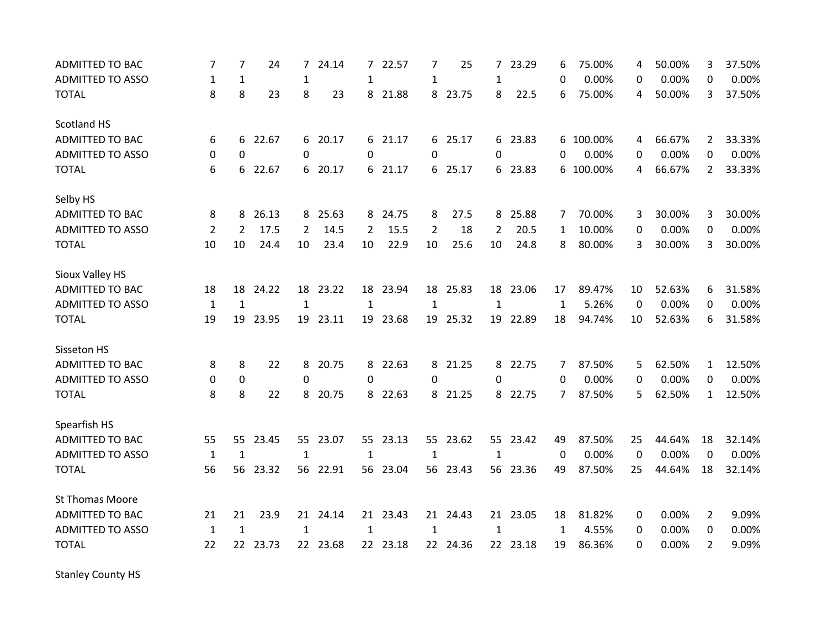| <b>ADMITTED TO BAC</b>  | 7              | 7              | 24       | 7            | 24.14    | 7            | 22.57    | 7              | 25       | 7            | 23.29    | 6            | 75.00%    | 4  | 50.00% | 3              | 37.50% |
|-------------------------|----------------|----------------|----------|--------------|----------|--------------|----------|----------------|----------|--------------|----------|--------------|-----------|----|--------|----------------|--------|
| <b>ADMITTED TO ASSO</b> | 1              | 1              |          | 1            |          | 1            |          | 1              |          | 1            |          | 0            | 0.00%     | 0  | 0.00%  | 0              | 0.00%  |
| <b>TOTAL</b>            | 8              | 8              | 23       | 8            | 23       | 8            | 21.88    |                | 8 23.75  | 8            | 22.5     | 6            | 75.00%    | 4  | 50.00% | 3              | 37.50% |
| Scotland HS             |                |                |          |              |          |              |          |                |          |              |          |              |           |    |        |                |        |
| <b>ADMITTED TO BAC</b>  | 6              | 6              | 22.67    |              | 6 20.17  | 6            | 21.17    |                | 6 25.17  |              | 6 23.83  |              | 6 100.00% | 4  | 66.67% | $\mathbf{2}$   | 33.33% |
| <b>ADMITTED TO ASSO</b> | $\Omega$       | $\Omega$       |          | $\Omega$     |          | 0            |          | 0              |          | 0            |          | 0            | 0.00%     | 0  | 0.00%  | 0              | 0.00%  |
| <b>TOTAL</b>            | 6              | 6              | 22.67    | 6            | 20.17    | 6            | 21.17    |                | 6 25.17  |              | 6 23.83  | 6            | 100.00%   | 4  | 66.67% | $\overline{2}$ | 33.33% |
| Selby HS                |                |                |          |              |          |              |          |                |          |              |          |              |           |    |        |                |        |
| <b>ADMITTED TO BAC</b>  | 8              | 8              | 26.13    | 8            | 25.63    | 8            | 24.75    | 8              | 27.5     |              | 8 25.88  | 7            | 70.00%    | 3  | 30.00% | 3              | 30.00% |
| <b>ADMITTED TO ASSO</b> | $\overline{2}$ | $\overline{2}$ | 17.5     | 2            | 14.5     | 2            | 15.5     | $\overline{2}$ | 18       | 2            | 20.5     | $\mathbf{1}$ | 10.00%    | 0  | 0.00%  | $\Omega$       | 0.00%  |
| <b>TOTAL</b>            | 10             | 10             | 24.4     | 10           | 23.4     | 10           | 22.9     | 10             | 25.6     | 10           | 24.8     | 8            | 80.00%    | 3  | 30.00% | 3              | 30.00% |
| Sioux Valley HS         |                |                |          |              |          |              |          |                |          |              |          |              |           |    |        |                |        |
| <b>ADMITTED TO BAC</b>  | 18             | 18             | 24.22    | 18           | 23.22    | 18           | 23.94    | 18             | 25.83    | 18           | 23.06    | 17           | 89.47%    | 10 | 52.63% | 6              | 31.58% |
| <b>ADMITTED TO ASSO</b> | $\mathbf{1}$   | $\mathbf{1}$   |          | $\mathbf{1}$ |          | $\mathbf{1}$ |          | $\mathbf{1}$   |          | $\mathbf{1}$ |          | $\mathbf{1}$ | 5.26%     | 0  | 0.00%  | 0              | 0.00%  |
| <b>TOTAL</b>            | 19             | 19             | 23.95    | 19           | 23.11    |              | 19 23.68 |                | 19 25.32 |              | 19 22.89 | 18           | 94.74%    | 10 | 52.63% | 6              | 31.58% |
| Sisseton HS             |                |                |          |              |          |              |          |                |          |              |          |              |           |    |        |                |        |
| <b>ADMITTED TO BAC</b>  | 8              | 8              | 22       | 8            | 20.75    | 8            | 22.63    | 8              | 21.25    |              | 8 22.75  | 7            | 87.50%    | 5  | 62.50% | $\mathbf{1}$   | 12.50% |
| <b>ADMITTED TO ASSO</b> | 0              | $\mathbf 0$    |          | 0            |          | 0            |          | 0              |          | 0            |          | 0            | 0.00%     | 0  | 0.00%  | 0              | 0.00%  |
| <b>TOTAL</b>            | 8              | 8              | 22       | 8            | 20.75    | 8            | 22.63    |                | 8 21.25  | 8            | 22.75    | $7^{\circ}$  | 87.50%    | 5  | 62.50% | $\mathbf{1}$   | 12.50% |
| Spearfish HS            |                |                |          |              |          |              |          |                |          |              |          |              |           |    |        |                |        |
| <b>ADMITTED TO BAC</b>  | 55             | 55             | 23.45    | 55           | 23.07    |              | 55 23.13 |                | 55 23.62 |              | 55 23.42 | 49           | 87.50%    | 25 | 44.64% | 18             | 32.14% |
| <b>ADMITTED TO ASSO</b> | $\mathbf{1}$   | 1              |          | 1            |          | $\mathbf{1}$ |          | 1              |          | 1            |          | 0            | 0.00%     | 0  | 0.00%  | 0              | 0.00%  |
| <b>TOTAL</b>            | 56             | 56             | 23.32    |              | 56 22.91 |              | 56 23.04 |                | 56 23.43 |              | 56 23.36 | 49           | 87.50%    | 25 | 44.64% | 18             | 32.14% |
| St Thomas Moore         |                |                |          |              |          |              |          |                |          |              |          |              |           |    |        |                |        |
| <b>ADMITTED TO BAC</b>  | 21             | 21             | 23.9     |              | 21 24.14 |              | 21 23.43 |                | 21 24.43 |              | 21 23.05 | 18           | 81.82%    | 0  | 0.00%  | $\overline{2}$ | 9.09%  |
| <b>ADMITTED TO ASSO</b> | $\mathbf{1}$   | $\mathbf{1}$   |          | $\mathbf{1}$ |          | $\mathbf{1}$ |          | 1              |          | $\mathbf{1}$ |          | 1            | 4.55%     | 0  | 0.00%  | 0              | 0.00%  |
| <b>TOTAL</b>            | 22             |                | 22 23.73 |              | 22 23.68 |              | 22 23.18 |                | 22 24.36 |              | 22 23.18 | 19           | 86.36%    | 0  | 0.00%  | $\overline{2}$ | 9.09%  |

Stanley County HS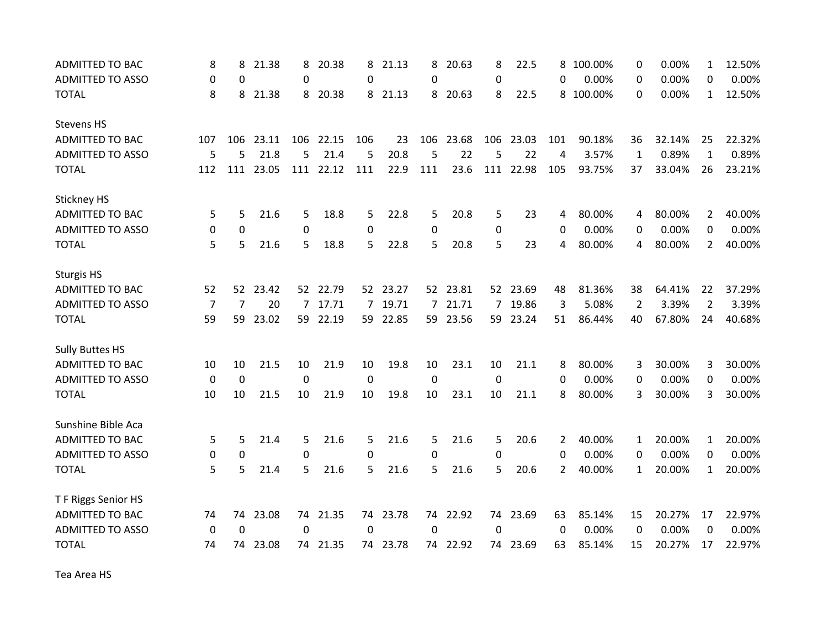| <b>ADMITTED TO BAC</b>  | 8           | 8           | 21.38 | 8           | 20.38    | 8           | 21.13    | 8   | 20.63    | 8           | 22.5      | 8              | 100.00% | 0            | 0.00%  | 1              | 12.50% |
|-------------------------|-------------|-------------|-------|-------------|----------|-------------|----------|-----|----------|-------------|-----------|----------------|---------|--------------|--------|----------------|--------|
| <b>ADMITTED TO ASSO</b> | $\Omega$    | 0           |       | $\Omega$    |          | 0           |          | 0   |          | $\Omega$    |           | $\Omega$       | 0.00%   | $\Omega$     | 0.00%  | $\Omega$       | 0.00%  |
| <b>TOTAL</b>            | 8           | 8           | 21.38 | 8           | 20.38    | 8           | 21.13    | 8   | 20.63    | 8           | 22.5      | 8              | 100.00% | 0            | 0.00%  | 1              | 12.50% |
| <b>Stevens HS</b>       |             |             |       |             |          |             |          |     |          |             |           |                |         |              |        |                |        |
| ADMITTED TO BAC         | 107         | 106         | 23.11 | 106         | 22.15    | 106         | 23       | 106 | 23.68    |             | 106 23.03 | 101            | 90.18%  | 36           | 32.14% | 25             | 22.32% |
| <b>ADMITTED TO ASSO</b> | 5           | 5           | 21.8  | 5           | 21.4     | 5           | 20.8     | 5   | 22       | 5           | 22        | 4              | 3.57%   | 1            | 0.89%  | 1              | 0.89%  |
| <b>TOTAL</b>            | 112         | 111         | 23.05 | 111         | 22.12    | 111         | 22.9     | 111 | 23.6     | 111         | 22.98     | 105            | 93.75%  | 37           | 33.04% | 26             | 23.21% |
| <b>Stickney HS</b>      |             |             |       |             |          |             |          |     |          |             |           |                |         |              |        |                |        |
| <b>ADMITTED TO BAC</b>  | 5           | 5           | 21.6  | 5           | 18.8     | 5           | 22.8     | 5   | 20.8     | 5           | 23        | 4              | 80.00%  | 4            | 80.00% | $\overline{2}$ | 40.00% |
| <b>ADMITTED TO ASSO</b> | 0           | 0           |       | $\mathbf 0$ |          | 0           |          | 0   |          | 0           |           | $\Omega$       | 0.00%   | 0            | 0.00%  | 0              | 0.00%  |
| <b>TOTAL</b>            | 5           | 5           | 21.6  | 5           | 18.8     | 5           | 22.8     | 5   | 20.8     | 5           | 23        | 4              | 80.00%  | 4            | 80.00% | $\overline{2}$ | 40.00% |
| <b>Sturgis HS</b>       |             |             |       |             |          |             |          |     |          |             |           |                |         |              |        |                |        |
| <b>ADMITTED TO BAC</b>  | 52          | 52          | 23.42 |             | 52 22.79 |             | 52 23.27 |     | 52 23.81 |             | 52 23.69  | 48             | 81.36%  | 38           | 64.41% | 22             | 37.29% |
| <b>ADMITTED TO ASSO</b> | 7           | 7           | 20    | 7           | 17.71    | 7           | 19.71    |     | 7 21.71  | $7^{\circ}$ | 19.86     | 3              | 5.08%   | 2            | 3.39%  | $\overline{2}$ | 3.39%  |
| <b>TOTAL</b>            | 59          | 59          | 23.02 |             | 59 22.19 |             | 59 22.85 |     | 59 23.56 |             | 59 23.24  | 51             | 86.44%  | 40           | 67.80% | 24             | 40.68% |
| <b>Sully Buttes HS</b>  |             |             |       |             |          |             |          |     |          |             |           |                |         |              |        |                |        |
| <b>ADMITTED TO BAC</b>  | 10          | 10          | 21.5  | 10          | 21.9     | 10          | 19.8     | 10  | 23.1     | 10          | 21.1      | 8              | 80.00%  | 3            | 30.00% | 3              | 30.00% |
| ADMITTED TO ASSO        | $\mathbf 0$ | $\mathbf 0$ |       | $\mathbf 0$ |          | $\mathbf 0$ |          | 0   |          | $\mathbf 0$ |           | $\Omega$       | 0.00%   | $\Omega$     | 0.00%  | $\Omega$       | 0.00%  |
| <b>TOTAL</b>            | 10          | 10          | 21.5  | 10          | 21.9     | 10          | 19.8     | 10  | 23.1     | 10          | 21.1      | 8              | 80.00%  | 3            | 30.00% | 3              | 30.00% |
| Sunshine Bible Aca      |             |             |       |             |          |             |          |     |          |             |           |                |         |              |        |                |        |
| <b>ADMITTED TO BAC</b>  | 5           | 5           | 21.4  | 5           | 21.6     | 5           | 21.6     | 5   | 21.6     | 5           | 20.6      | $\overline{2}$ | 40.00%  | $\mathbf{1}$ | 20.00% | $\mathbf{1}$   | 20.00% |
| <b>ADMITTED TO ASSO</b> | 0           | 0           |       | 0           |          | 0           |          | 0   |          | 0           |           | 0              | 0.00%   | 0            | 0.00%  | 0              | 0.00%  |
| <b>TOTAL</b>            | 5           | 5           | 21.4  | 5           | 21.6     | 5           | 21.6     | 5   | 21.6     | 5           | 20.6      | 2              | 40.00%  | $\mathbf{1}$ | 20.00% | $\mathbf{1}$   | 20.00% |
| T F Riggs Senior HS     |             |             |       |             |          |             |          |     |          |             |           |                |         |              |        |                |        |
| ADMITTED TO BAC         | 74          | 74          | 23.08 |             | 74 21.35 |             | 74 23.78 |     | 74 22.92 |             | 74 23.69  | 63             | 85.14%  | 15           | 20.27% | 17             | 22.97% |
| <b>ADMITTED TO ASSO</b> | $\Omega$    | $\Omega$    |       | $\Omega$    |          | 0           |          | 0   |          | $\Omega$    |           | $\Omega$       | 0.00%   | 0            | 0.00%  | 0              | 0.00%  |
| <b>TOTAL</b>            | 74          | 74          | 23.08 | 74          | 21.35    |             | 74 23.78 |     | 74 22.92 |             | 74 23.69  | 63             | 85.14%  | 15           | 20.27% | 17             | 22.97% |

Tea Area HS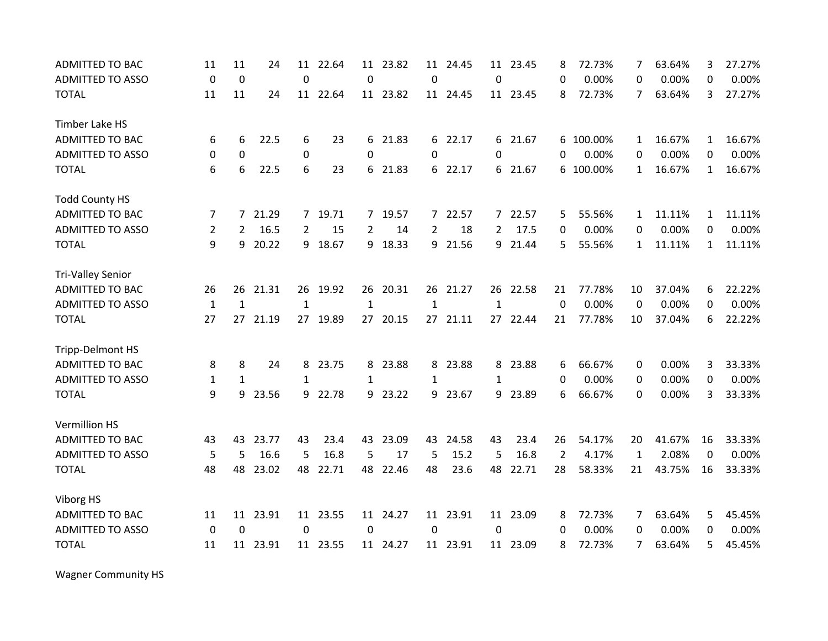| <b>ADMITTED TO BAC</b>   | 11             | 11           | 24       | 11             | 22.64    | 11           | 23.82    | 11             | 24.45    | 11             | 23.45    | 8        | 72.73%    | 7            | 63.64% | 3            | 27.27% |
|--------------------------|----------------|--------------|----------|----------------|----------|--------------|----------|----------------|----------|----------------|----------|----------|-----------|--------------|--------|--------------|--------|
| <b>ADMITTED TO ASSO</b>  | $\mathbf 0$    | $\mathbf 0$  |          | $\mathbf 0$    |          | $\mathbf 0$  |          | $\mathbf 0$    |          | 0              |          | $\Omega$ | 0.00%     | 0            | 0.00%  | 0            | 0.00%  |
| <b>TOTAL</b>             | 11             | 11           | 24       |                | 11 22.64 |              | 11 23.82 |                | 11 24.45 |                | 11 23.45 | 8        | 72.73%    | 7            | 63.64% | 3            | 27.27% |
| Timber Lake HS           |                |              |          |                |          |              |          |                |          |                |          |          |           |              |        |              |        |
| <b>ADMITTED TO BAC</b>   | 6              | 6            | 22.5     | 6              | 23       | 6            | 21.83    |                | 6 22.17  |                | 6 21.67  |          | 6 100.00% | $\mathbf{1}$ | 16.67% | 1            | 16.67% |
| <b>ADMITTED TO ASSO</b>  | 0              | 0            |          | 0              |          | 0            |          | 0              |          | $\Omega$       |          | 0        | 0.00%     | 0            | 0.00%  | 0            | 0.00%  |
| <b>TOTAL</b>             | 6              | 6            | 22.5     | 6              | 23       | 6            | 21.83    | 6              | 22.17    |                | 6 21.67  | 6        | 100.00%   | $\mathbf{1}$ | 16.67% | $\mathbf{1}$ | 16.67% |
| <b>Todd County HS</b>    |                |              |          |                |          |              |          |                |          |                |          |          |           |              |        |              |        |
| ADMITTED TO BAC          | 7              |              | 7 21.29  |                | 7 19.71  |              | 7 19.57  |                | 7 22.57  |                | 7 22.57  | 5        | 55.56%    | $\mathbf{1}$ | 11.11% | $\mathbf{1}$ | 11.11% |
| <b>ADMITTED TO ASSO</b>  | $\overline{2}$ | 2            | 16.5     | $\overline{2}$ | 15       | 2            | 14       | $\overline{2}$ | 18       | $\overline{2}$ | 17.5     | 0        | 0.00%     | 0            | 0.00%  | 0            | 0.00%  |
| <b>TOTAL</b>             | 9              | 9            | 20.22    | 9              | 18.67    | 9            | 18.33    | 9              | 21.56    | 9              | 21.44    | 5        | 55.56%    | $\mathbf{1}$ | 11.11% | $\mathbf{1}$ | 11.11% |
| <b>Tri-Valley Senior</b> |                |              |          |                |          |              |          |                |          |                |          |          |           |              |        |              |        |
| <b>ADMITTED TO BAC</b>   | 26             | 26           | 21.31    | 26             | 19.92    | 26           | 20.31    | 26             | 21.27    | 26             | 22.58    | 21       | 77.78%    | 10           | 37.04% | 6            | 22.22% |
| <b>ADMITTED TO ASSO</b>  | $\mathbf{1}$   | $\mathbf{1}$ |          | $\mathbf{1}$   |          | $\mathbf{1}$ |          | $\mathbf{1}$   |          | $\mathbf{1}$   |          | 0        | 0.00%     | 0            | 0.00%  | 0            | 0.00%  |
| <b>TOTAL</b>             | 27             | 27           | 21.19    |                | 27 19.89 | 27           | 20.15    |                | 27 21.11 |                | 27 22.44 | 21       | 77.78%    | 10           | 37.04% | 6            | 22.22% |
| Tripp-Delmont HS         |                |              |          |                |          |              |          |                |          |                |          |          |           |              |        |              |        |
| <b>ADMITTED TO BAC</b>   | 8              | 8            | 24       | 8              | 23.75    | 8            | 23.88    | 8              | 23.88    |                | 8 23.88  | 6        | 66.67%    | 0            | 0.00%  | 3            | 33.33% |
| <b>ADMITTED TO ASSO</b>  | 1              | $\mathbf{1}$ |          | 1              |          | 1            |          | 1              |          | 1              |          | 0        | 0.00%     | 0            | 0.00%  | 0            | 0.00%  |
| <b>TOTAL</b>             | 9              | 9            | 23.56    |                | 9 22.78  | 9            | 23.22    |                | 9 23.67  | 9              | 23.89    | 6        | 66.67%    | 0            | 0.00%  | 3            | 33.33% |
| <b>Vermillion HS</b>     |                |              |          |                |          |              |          |                |          |                |          |          |           |              |        |              |        |
| <b>ADMITTED TO BAC</b>   | 43             | 43           | 23.77    | 43             | 23.4     | 43           | 23.09    | 43             | 24.58    | 43             | 23.4     | 26       | 54.17%    | 20           | 41.67% | 16           | 33.33% |
| <b>ADMITTED TO ASSO</b>  | 5              | 5            | 16.6     | 5              | 16.8     | 5            | 17       | 5              | 15.2     | 5              | 16.8     | 2        | 4.17%     | $\mathbf{1}$ | 2.08%  | 0            | 0.00%  |
| <b>TOTAL</b>             | 48             | 48           | 23.02    | 48             | 22.71    | 48           | 22.46    | 48             | 23.6     | 48             | 22.71    | 28       | 58.33%    | 21           | 43.75% | 16           | 33.33% |
| Viborg HS                |                |              |          |                |          |              |          |                |          |                |          |          |           |              |        |              |        |
| ADMITTED TO BAC          | 11             |              | 11 23.91 |                | 11 23.55 |              | 11 24.27 |                | 11 23.91 |                | 11 23.09 | 8        | 72.73%    | 7            | 63.64% | 5            | 45.45% |
| <b>ADMITTED TO ASSO</b>  | 0              | 0            |          | 0              |          | 0            |          | 0              |          | 0              |          | 0        | 0.00%     | 0            | 0.00%  | 0            | 0.00%  |
| <b>TOTAL</b>             | 11             | 11           | 23.91    |                | 11 23.55 |              | 11 24.27 |                | 11 23.91 |                | 11 23.09 | 8        | 72.73%    | 7            | 63.64% | 5            | 45.45% |

Wagner Community HS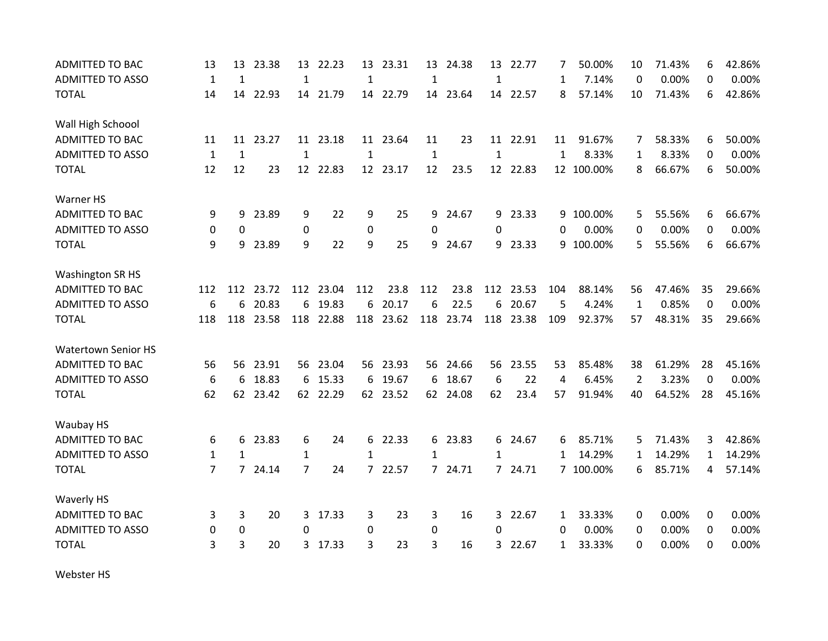| <b>ADMITTED TO BAC</b>     | 13               | 13             | 23.38    | 13             | 22.23     | 13               | 23.31    |              | 13 24.38  | 13             | 22.77     | 7               | 50.00%    | 10             | 71.43% | 6            | 42.86% |
|----------------------------|------------------|----------------|----------|----------------|-----------|------------------|----------|--------------|-----------|----------------|-----------|-----------------|-----------|----------------|--------|--------------|--------|
| <b>ADMITTED TO ASSO</b>    | $\mathbf{1}$     | $\mathbf{1}$   |          | $\mathbf{1}$   |           | $\mathbf{1}$     |          | $\mathbf{1}$ |           | $\mathbf{1}$   |           | 1               | 7.14%     | $\Omega$       | 0.00%  | 0            | 0.00%  |
| <b>TOTAL</b>               | 14               |                | 14 22.93 |                | 14 21.79  |                  | 14 22.79 |              | 14 23.64  |                | 14 22.57  | 8               | 57.14%    | 10             | 71.43% | 6            | 42.86% |
| Wall High Schoool          |                  |                |          |                |           |                  |          |              |           |                |           |                 |           |                |        |              |        |
| <b>ADMITTED TO BAC</b>     | 11               |                | 11 23.27 |                | 11 23.18  |                  | 11 23.64 | 11           | 23        |                | 11 22.91  | 11              | 91.67%    | 7              | 58.33% | 6            | 50.00% |
| <b>ADMITTED TO ASSO</b>    | $\mathbf{1}$     | $\mathbf{1}$   |          | $\mathbf{1}$   |           | $\mathbf{1}$     |          | $\mathbf{1}$ |           | $\mathbf{1}$   |           | 1               | 8.33%     | 1              | 8.33%  | 0            | 0.00%  |
| <b>TOTAL</b>               | 12               | 12             | 23       | 12             | 22.83     | 12 <sup>12</sup> | 23.17    | 12           | 23.5      |                | 12 22.83  | 12 <sup>2</sup> | 100.00%   | 8              | 66.67% | 6            | 50.00% |
| Warner HS                  |                  |                |          |                |           |                  |          |              |           |                |           |                 |           |                |        |              |        |
| <b>ADMITTED TO BAC</b>     | 9                | 9              | 23.89    | 9              | 22        | 9                | 25       | 9            | 24.67     |                | 9 23.33   |                 | 9 100.00% | 5              | 55.56% | 6            | 66.67% |
| <b>ADMITTED TO ASSO</b>    | 0                | 0              |          | $\mathbf 0$    |           | 0                |          | 0            |           | 0              |           | 0               | 0.00%     | 0              | 0.00%  | 0            | 0.00%  |
| <b>TOTAL</b>               | 9                | 9              | 23.89    | 9              | 22        | 9                | 25       | 9            | 24.67     |                | 9 23.33   | 9               | 100.00%   | 5              | 55.56% | 6            | 66.67% |
| <b>Washington SR HS</b>    |                  |                |          |                |           |                  |          |              |           |                |           |                 |           |                |        |              |        |
| <b>ADMITTED TO BAC</b>     | 112              | 112            | 23.72    | 112            | 23.04     | 112              | 23.8     | 112          | 23.8      | 112            | 23.53     | 104             | 88.14%    | 56             | 47.46% | 35           | 29.66% |
| <b>ADMITTED TO ASSO</b>    | $\boldsymbol{6}$ | 6              | 20.83    | 6              | 19.83     | 6                | 20.17    | 6            | 22.5      | 6              | 20.67     | 5               | 4.24%     | $\mathbf{1}$   | 0.85%  | 0            | 0.00%  |
| <b>TOTAL</b>               | 118              | 118            | 23.58    |                | 118 22.88 | 118              | 23.62    |              | 118 23.74 |                | 118 23.38 | 109             | 92.37%    | 57             | 48.31% | 35           | 29.66% |
| <b>Watertown Senior HS</b> |                  |                |          |                |           |                  |          |              |           |                |           |                 |           |                |        |              |        |
| <b>ADMITTED TO BAC</b>     | 56               | 56             | 23.91    |                | 56 23.04  |                  | 56 23.93 |              | 56 24.66  | 56             | 23.55     | 53              | 85.48%    | 38             | 61.29% | 28           | 45.16% |
| <b>ADMITTED TO ASSO</b>    | 6                | 6              | 18.83    | 6              | 15.33     | 6                | 19.67    | 6            | 18.67     | 6              | 22        | 4               | 6.45%     | $\overline{2}$ | 3.23%  | $\Omega$     | 0.00%  |
| <b>TOTAL</b>               | 62               |                | 62 23.42 |                | 62 22.29  |                  | 62 23.52 |              | 62 24.08  | 62             | 23.4      | 57              | 91.94%    | 40             | 64.52% | 28           | 45.16% |
| Waubay HS                  |                  |                |          |                |           |                  |          |              |           |                |           |                 |           |                |        |              |        |
| <b>ADMITTED TO BAC</b>     | 6                | 6              | 23.83    | 6              | 24        | 6                | 22.33    |              | 6 23.83   |                | 6 24.67   | 6               | 85.71%    | 5              | 71.43% | 3            | 42.86% |
| <b>ADMITTED TO ASSO</b>    | $\mathbf{1}$     | 1              |          | 1              |           | 1                |          | $\mathbf{1}$ |           | 1              |           | 1               | 14.29%    | 1              | 14.29% | $\mathbf{1}$ | 14.29% |
| <b>TOTAL</b>               | $\overline{7}$   | $\overline{7}$ | 24.14    | $\overline{7}$ | 24        | $\overline{7}$   | 22.57    |              | 7 24.71   |                | 7 24.71   |                 | 7 100.00% | 6              | 85.71% | 4            | 57.14% |
| <b>Waverly HS</b>          |                  |                |          |                |           |                  |          |              |           |                |           |                 |           |                |        |              |        |
| <b>ADMITTED TO BAC</b>     | 3                | 3              | 20       |                | 3 17.33   | 3                | 23       | 3            | 16        | 3 <sup>1</sup> | 22.67     | 1               | 33.33%    | 0              | 0.00%  | 0            | 0.00%  |
| <b>ADMITTED TO ASSO</b>    | 0                | $\pmb{0}$      |          | $\Omega$       |           | 0                |          | 0            |           | $\Omega$       |           | 0               | 0.00%     | 0              | 0.00%  | 0            | 0.00%  |
| <b>TOTAL</b>               | 3                | 3              | 20       | 3              | 17.33     | 3                | 23       | 3            | 16        | 3              | 22.67     | 1               | 33.33%    | $\Omega$       | 0.00%  | 0            | 0.00%  |

Webster HS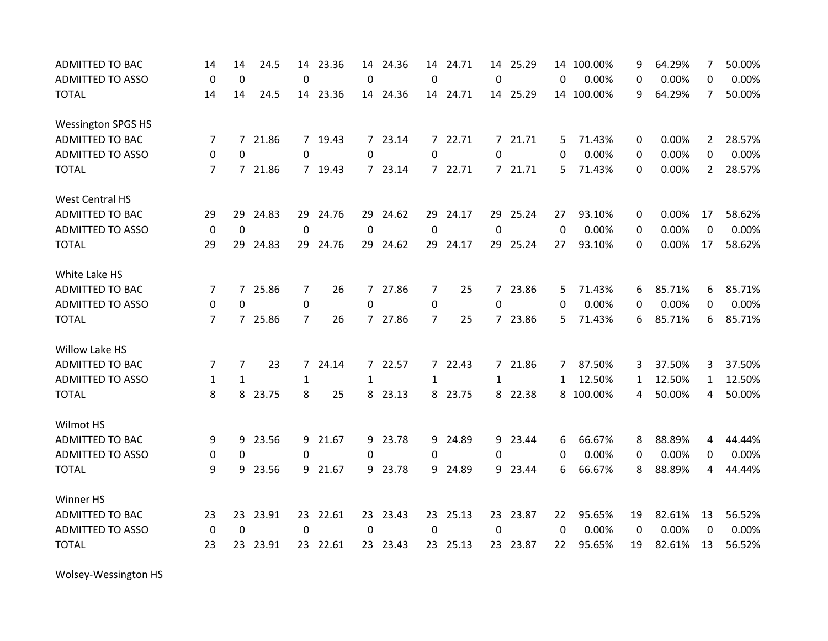| <b>ADMITTED TO BAC</b>    | 14             | 14           | 24.5     | 14             | 23.36    |                | 14 24.36 | 14             | 24.71    |              | 14 25.29 |             | 14 100.00% | 9            | 64.29% | $\overline{7}$ | 50.00% |
|---------------------------|----------------|--------------|----------|----------------|----------|----------------|----------|----------------|----------|--------------|----------|-------------|------------|--------------|--------|----------------|--------|
| <b>ADMITTED TO ASSO</b>   | $\Omega$       | $\Omega$     |          | $\mathbf 0$    |          | $\Omega$       |          | 0              |          | $\mathbf{0}$ |          | $\Omega$    | 0.00%      | $\Omega$     | 0.00%  | $\Omega$       | 0.00%  |
| <b>TOTAL</b>              | 14             | 14           | 24.5     |                | 14 23.36 |                | 14 24.36 |                | 14 24.71 |              | 14 25.29 |             | 14 100.00% | 9            | 64.29% | 7              | 50.00% |
| <b>Wessington SPGS HS</b> |                |              |          |                |          |                |          |                |          |              |          |             |            |              |        |                |        |
| <b>ADMITTED TO BAC</b>    | 7              |              | 7 21.86  |                | 7 19.43  |                | 7 23.14  |                | 7 22.71  |              | 7 21.71  | 5           | 71.43%     | 0            | 0.00%  | $\mathbf{2}$   | 28.57% |
| <b>ADMITTED TO ASSO</b>   | 0              | $\Omega$     |          | $\Omega$       |          | $\Omega$       |          | 0              |          | $\Omega$     |          | $\Omega$    | 0.00%      | 0            | 0.00%  | 0              | 0.00%  |
| <b>TOTAL</b>              | $\overline{7}$ |              | 7 21.86  |                | 7 19.43  | $\overline{7}$ | 23.14    |                | 7 22.71  |              | 7 21.71  | 5           | 71.43%     | $\mathbf{0}$ | 0.00%  | $\overline{2}$ | 28.57% |
| <b>West Central HS</b>    |                |              |          |                |          |                |          |                |          |              |          |             |            |              |        |                |        |
| <b>ADMITTED TO BAC</b>    | 29             | 29           | 24.83    |                | 29 24.76 |                | 29 24.62 |                | 29 24.17 |              | 29 25.24 | 27          | 93.10%     | 0            | 0.00%  | 17             | 58.62% |
| <b>ADMITTED TO ASSO</b>   | $\mathbf 0$    | $\mathbf 0$  |          | $\mathbf 0$    |          | 0              |          | $\mathbf 0$    |          | $\mathbf 0$  |          | $\mathbf 0$ | 0.00%      | 0            | 0.00%  | 0              | 0.00%  |
| <b>TOTAL</b>              | 29             | 29           | 24.83    | 29             | 24.76    |                | 29 24.62 |                | 29 24.17 |              | 29 25.24 | 27          | 93.10%     | $\Omega$     | 0.00%  | 17             | 58.62% |
| White Lake HS             |                |              |          |                |          |                |          |                |          |              |          |             |            |              |        |                |        |
| <b>ADMITTED TO BAC</b>    | 7              | 7            | 25.86    | 7              | 26       | 7              | 27.86    | 7              | 25       |              | 7 23.86  | 5           | 71.43%     | 6            | 85.71% | 6              | 85.71% |
| <b>ADMITTED TO ASSO</b>   | 0              | 0            |          | 0              |          | 0              |          | 0              |          | 0            |          | 0           | 0.00%      | 0            | 0.00%  | 0              | 0.00%  |
| <b>TOTAL</b>              | $\overline{7}$ |              | 7 25.86  | $\overline{7}$ | 26       |                | 7 27.86  | $\overline{7}$ | 25       |              | 7 23.86  | 5           | 71.43%     | 6            | 85.71% | 6              | 85.71% |
| Willow Lake HS            |                |              |          |                |          |                |          |                |          |              |          |             |            |              |        |                |        |
| ADMITTED TO BAC           | 7              | 7            | 23       | 7              | 24.14    | 7              | 22.57    | $7^{\circ}$    | 22.43    |              | 7 21.86  | 7           | 87.50%     | 3            | 37.50% | 3              | 37.50% |
| <b>ADMITTED TO ASSO</b>   | $\mathbf{1}$   | $\mathbf{1}$ |          | $\mathbf{1}$   |          | $\mathbf{1}$   |          | $\mathbf{1}$   |          | $\mathbf{1}$ |          | 1           | 12.50%     | $\mathbf{1}$ | 12.50% | $\mathbf{1}$   | 12.50% |
| <b>TOTAL</b>              | 8              |              | 8 23.75  | 8              | 25       | 8              | 23.13    | 8              | 23.75    |              | 8 22.38  |             | 8 100.00%  | 4            | 50.00% | 4              | 50.00% |
| Wilmot HS                 |                |              |          |                |          |                |          |                |          |              |          |             |            |              |        |                |        |
| <b>ADMITTED TO BAC</b>    | 9              | 9            | 23.56    |                | 9 21.67  | 9              | 23.78    |                | 9 24.89  |              | 9 23.44  | 6           | 66.67%     | 8            | 88.89% | 4              | 44.44% |
| <b>ADMITTED TO ASSO</b>   | 0              | $\Omega$     |          | $\Omega$       |          | 0              |          | 0              |          | 0            |          | 0           | 0.00%      | $\Omega$     | 0.00%  | 0              | 0.00%  |
| <b>TOTAL</b>              | 9              | 9            | 23.56    |                | 9 21.67  | 9              | 23.78    | 9              | 24.89    |              | 9 23.44  | 6           | 66.67%     | 8            | 88.89% | 4              | 44.44% |
| Winner HS                 |                |              |          |                |          |                |          |                |          |              |          |             |            |              |        |                |        |
| <b>ADMITTED TO BAC</b>    | 23             |              | 23 23.91 |                | 23 22.61 |                | 23 23.43 |                | 23 25.13 |              | 23 23.87 | 22          | 95.65%     | 19           | 82.61% | 13             | 56.52% |
| <b>ADMITTED TO ASSO</b>   | $\mathbf 0$    | 0            |          | 0              |          | 0              |          | 0              |          | 0            |          | 0           | 0.00%      | $\mathbf 0$  | 0.00%  | 0              | 0.00%  |
| <b>TOTAL</b>              | 23             | 23           | 23.91    |                | 23 22.61 |                | 23 23.43 |                | 23 25.13 |              | 23 23.87 | 22          | 95.65%     | 19           | 82.61% | 13             | 56.52% |

Wolsey‐Wessington HS